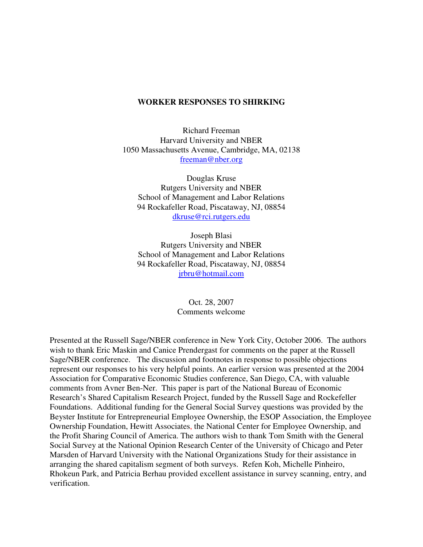#### **WORKER RESPONSES TO SHIRKING**

Richard Freeman Harvard University and NBER 1050 Massachusetts Avenue, Cambridge, MA, 02138 freeman@nber.org

Douglas Kruse Rutgers University and NBER School of Management and Labor Relations 94 Rockafeller Road, Piscataway, NJ, 08854 dkruse@rci.rutgers.edu

Joseph Blasi Rutgers University and NBER School of Management and Labor Relations 94 Rockafeller Road, Piscataway, NJ, 08854 jrbru@hotmail.com

> Oct. 28, 2007 Comments welcome

Presented at the Russell Sage/NBER conference in New York City, October 2006. The authors wish to thank Eric Maskin and Canice Prendergast for comments on the paper at the Russell Sage/NBER conference. The discussion and footnotes in response to possible objections represent our responses to his very helpful points. An earlier version was presented at the 2004 Association for Comparative Economic Studies conference, San Diego, CA, with valuable comments from Avner Ben-Ner. This paper is part of the National Bureau of Economic Research's Shared Capitalism Research Project, funded by the Russell Sage and Rockefeller Foundations. Additional funding for the General Social Survey questions was provided by the Beyster Institute for Entrepreneurial Employee Ownership, the ESOP Association, the Employee Ownership Foundation, Hewitt Associates, the National Center for Employee Ownership, and the Profit Sharing Council of America. The authors wish to thank Tom Smith with the General Social Survey at the National Opinion Research Center of the University of Chicago and Peter Marsden of Harvard University with the National Organizations Study for their assistance in arranging the shared capitalism segment of both surveys. Refen Koh, Michelle Pinheiro, Rhokeun Park, and Patricia Berhau provided excellent assistance in survey scanning, entry, and verification.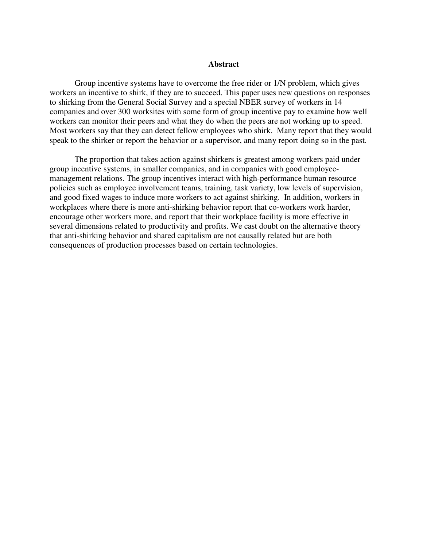#### **Abstract**

Group incentive systems have to overcome the free rider or 1/N problem, which gives workers an incentive to shirk, if they are to succeed. This paper uses new questions on responses to shirking from the General Social Survey and a special NBER survey of workers in 14 companies and over 300 worksites with some form of group incentive pay to examine how well workers can monitor their peers and what they do when the peers are not working up to speed. Most workers say that they can detect fellow employees who shirk. Many report that they would speak to the shirker or report the behavior or a supervisor, and many report doing so in the past.

The proportion that takes action against shirkers is greatest among workers paid under group incentive systems, in smaller companies, and in companies with good employeemanagement relations. The group incentives interact with high-performance human resource policies such as employee involvement teams, training, task variety, low levels of supervision, and good fixed wages to induce more workers to act against shirking. In addition, workers in workplaces where there is more anti-shirking behavior report that co-workers work harder, encourage other workers more, and report that their workplace facility is more effective in several dimensions related to productivity and profits. We cast doubt on the alternative theory that anti-shirking behavior and shared capitalism are not causally related but are both consequences of production processes based on certain technologies.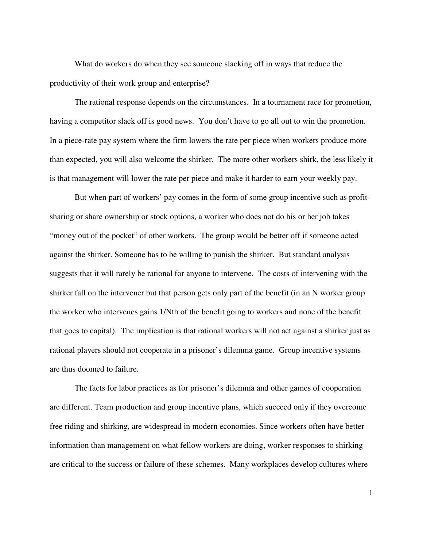What do workers do when they see someone slacking off in ways that reduce the productivity of their work group and enterprise?

The rational response depends on the circumstances. In a tournament race for promotion, having a competitor slack off is good news. You don't have to go all out to win the promotion. In a piece-rate pay system where the firm lowers the rate per piece when workers produce more than expected, you will also welcome the shirker. The more other workers shirk, the less likely it is that management will lower the rate per piece and make it harder to earn your weekly pay.

But when part of workers' pay comes in the form of some group incentive such as profitsharing or share ownership or stock options, a worker who does not do his or her job takes "money out of the pocket" of other workers. The group would be better off if someone acted against the shirker. Someone has to be willing to punish the shirker. But standard analysis suggests that it will rarely be rational for anyone to intervene. The costs of intervening with the shirker fall on the intervener but that person gets only part of the benefit (in an N worker group the worker who intervenes gains 1/Nth of the benefit going to workers and none of the benefit that goes to capital). The implication is that rational workers will not act against a shirker just as rational players should not cooperate in a prisoner's dilemma game. Group incentive systems are thus doomed to failure.

The facts for labor practices as for prisoner's dilemma and other games of cooperation are different. Team production and group incentive plans, which succeed only if they overcome free riding and shirking, are widespread in modern economies. Since workers often have better information than management on what fellow workers are doing, worker responses to shirking are critical to the success or failure of these schemes. Many workplaces develop cultures where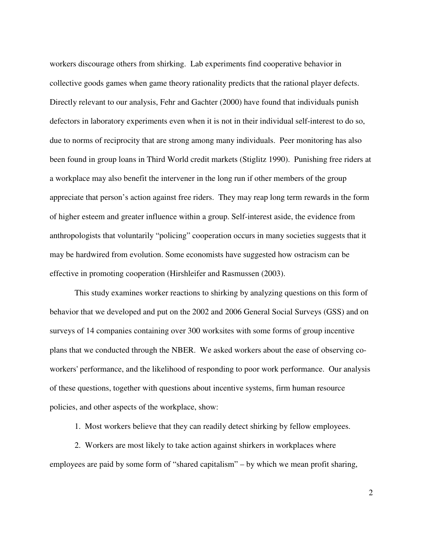workers discourage others from shirking. Lab experiments find cooperative behavior in collective goods games when game theory rationality predicts that the rational player defects. Directly relevant to our analysis, Fehr and Gachter (2000) have found that individuals punish defectors in laboratory experiments even when it is not in their individual self-interest to do so, due to norms of reciprocity that are strong among many individuals. Peer monitoring has also been found in group loans in Third World credit markets (Stiglitz 1990). Punishing free riders at a workplace may also benefit the intervener in the long run if other members of the group appreciate that person's action against free riders. They may reap long term rewards in the form of higher esteem and greater influence within a group. Self-interest aside, the evidence from anthropologists that voluntarily "policing" cooperation occurs in many societies suggests that it may be hardwired from evolution. Some economists have suggested how ostracism can be effective in promoting cooperation (Hirshleifer and Rasmussen (2003).

This study examines worker reactions to shirking by analyzing questions on this form of behavior that we developed and put on the 2002 and 2006 General Social Surveys (GSS) and on surveys of 14 companies containing over 300 worksites with some forms of group incentive plans that we conducted through the NBER. We asked workers about the ease of observing coworkers'performance, and the likelihood of responding to poor work performance. Our analysis of these questions, together with questions about incentive systems, firm human resource policies, and other aspects of the workplace, show:

1. Most workers believe that they can readily detect shirking by fellow employees.

2. Workers are most likely to take action against shirkers in workplaces where employees are paid by some form of "shared capitalism" – by which we mean profit sharing,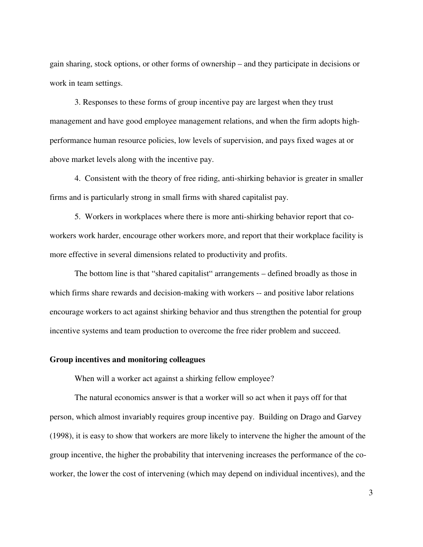gain sharing, stock options, or other forms of ownership – and they participate in decisions or work in team settings.

3. Responses to these forms of group incentive pay are largest when they trust management and have good employee management relations, and when the firm adopts highperformance human resource policies, low levels of supervision, and pays fixed wages at or above market levels along with the incentive pay.

4. Consistent with the theory of free riding, anti-shirking behavior is greater in smaller firms and is particularly strong in small firms with shared capitalist pay.

5. Workers in workplaces where there is more anti-shirking behavior report that coworkers work harder, encourage other workers more, and report that their workplace facility is more effective in several dimensions related to productivity and profits.

The bottom line is that "shared capitalist" arrangements – defined broadly as those in which firms share rewards and decision-making with workers -- and positive labor relations encourage workers to act against shirking behavior and thus strengthen the potential for group incentive systems and team production to overcome the free rider problem and succeed.

#### **Group incentives and monitoring colleagues**

When will a worker act against a shirking fellow employee?

The natural economics answer is that a worker will so act when it pays off for that person, which almost invariably requires group incentive pay. Building on Drago and Garvey (1998), it is easy to show that workers are more likely to intervene the higher the amount of the group incentive, the higher the probability that intervening increases the performance of the coworker, the lower the cost of intervening (which may depend on individual incentives), and the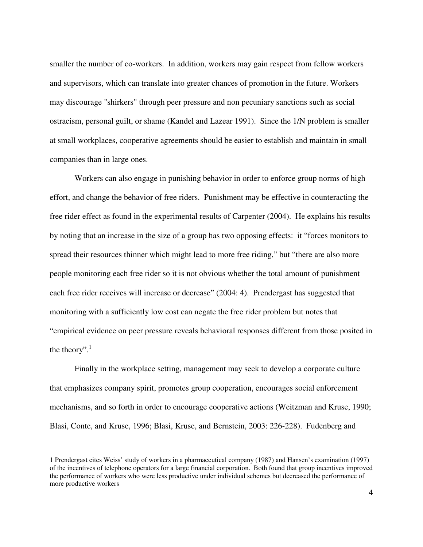smaller the number of co-workers. In addition, workers may gain respect from fellow workers and supervisors, which can translate into greater chances of promotion in the future. Workers may discourage "shirkers" through peer pressure and non pecuniary sanctions such as social ostracism, personal guilt, or shame (Kandel and Lazear 1991). Since the 1/N problem is smaller at small workplaces, cooperative agreements should be easier to establish and maintain in small companies than in large ones.

Workers can also engage in punishing behavior in order to enforce group norms of high effort, and change the behavior of free riders. Punishment may be effective in counteracting the free rider effect as found in the experimental results of Carpenter (2004). He explains his results by noting that an increase in the size of a group has two opposing effects: it "forces monitors to spread their resources thinner which might lead to more free riding," but "there are also more people monitoring each free rider so it is not obvious whether the total amount of punishment each free rider receives will increase or decrease" (2004: 4). Prendergast has suggested that monitoring with a sufficiently low cost can negate the free rider problem but notes that "empirical evidence on peer pressure reveals behavioral responses different from those posited in the theory". $<sup>1</sup>$ </sup>

Finally in the workplace setting, management may seek to develop a corporate culture that emphasizes company spirit, promotes group cooperation, encourages social enforcement mechanisms, and so forth in order to encourage cooperative actions (Weitzman and Kruse, 1990; Blasi, Conte, and Kruse, 1996; Blasi, Kruse, and Bernstein, 2003: 226-228). Fudenberg and

<sup>1</sup> Prendergast cites Weiss' study of workers in a pharmaceutical company (1987) and Hansen's examination (1997) of the incentives of telephone operators for a large financial corporation. Both found that group incentives improved the performance of workers who were less productive under individual schemes but decreased the performance of more productive workers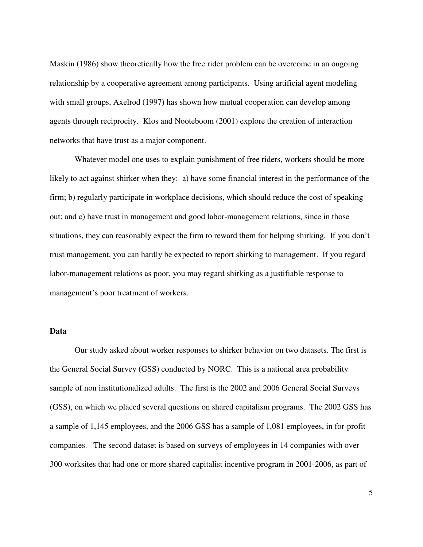Maskin (1986) show theoretically how the free rider problem can be overcome in an ongoing relationship by a cooperative agreement among participants. Using artificial agent modeling with small groups, Axelrod (1997) has shown how mutual cooperation can develop among agents through reciprocity. Klos and Nooteboom (2001) explore the creation of interaction networks that have trust as a major component.

Whatever model one uses to explain punishment of free riders, workers should be more likely to act against shirker when they: a) have some financial interest in the performance of the firm; b) regularly participate in workplace decisions, which should reduce the cost of speaking out; and c) have trust in management and good labor-management relations, since in those situations, they can reasonably expect the firm to reward them for helping shirking. If you don't trust management, you can hardly be expected to report shirking to management. If you regard labor-management relations as poor, you may regard shirking as a justifiable response to management's poor treatment of workers.

#### **Data**

Our study asked about worker responses to shirker behavior on two datasets. The first is the General Social Survey (GSS) conducted by NORC. This is a national area probability sample of non institutionalized adults. The first is the 2002 and 2006 General Social Surveys (GSS), on which we placed several questions on shared capitalism programs. The 2002 GSS has a sample of 1,145 employees, and the 2006 GSS has a sample of 1,081 employees, in for-profit companies. The second dataset is based on surveys of employees in 14 companies with over 300 worksites that had one or more shared capitalist incentive program in 2001-2006, as part of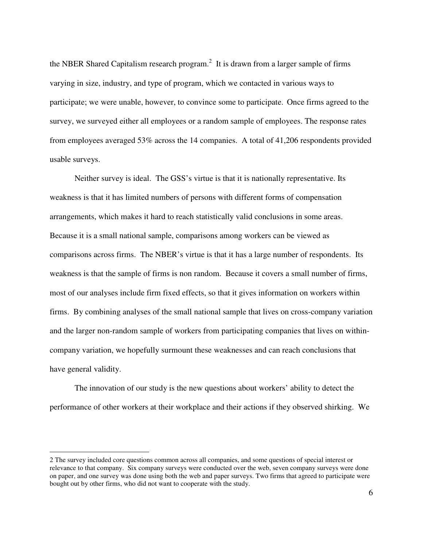the NBER Shared Capitalism research program.<sup>2</sup> It is drawn from a larger sample of firms varying in size, industry, and type of program, which we contacted in various ways to participate; we were unable, however, to convince some to participate. Once firms agreed to the survey, we surveyed either all employees or a random sample of employees. The response rates from employees averaged 53% across the 14 companies. A total of 41,206 respondents provided usable surveys.

Neither survey is ideal. The GSS's virtue is that it is nationally representative. Its weakness is that it has limited numbers of persons with different forms of compensation arrangements, which makes it hard to reach statistically valid conclusions in some areas. Because it is a small national sample, comparisons among workers can be viewed as comparisons across firms. The NBER's virtue is that it has a large number of respondents. Its weakness is that the sample of firms is non random. Because it covers a small number of firms, most of our analyses include firm fixed effects, so that it gives information on workers within firms. By combining analyses of the small national sample that lives on cross-company variation and the larger non-random sample of workers from participating companies that lives on withincompany variation, we hopefully surmount these weaknesses and can reach conclusions that have general validity.

The innovation of our study is the new questions about workers' ability to detect the performance of other workers at their workplace and their actions if they observed shirking. We

<sup>2</sup> The survey included core questions common across all companies, and some questions of special interest or relevance to that company. Six company surveys were conducted over the web, seven company surveys were done on paper, and one survey was done using both the web and paper surveys. Two firms that agreed to participate were bought out by other firms, who did not want to cooperate with the study.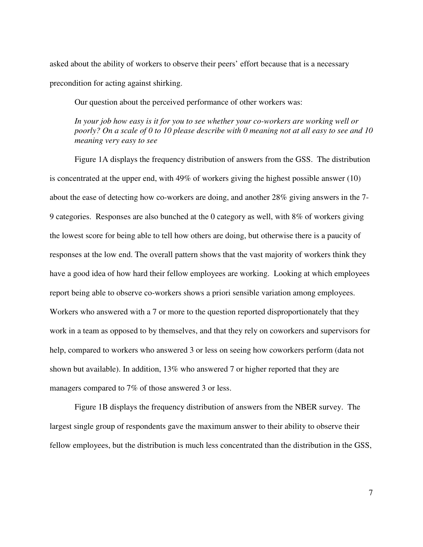asked about the ability of workers to observe their peers' effort because that is a necessary precondition for acting against shirking.

Our question about the perceived performance of other workers was:

*In your job how easy is it for you to see whether your co-workers are working well or* poorly? On a scale of 0 to 10 please describe with 0 meaning not at all easy to see and 10 *meaning very easy to see*

Figure 1A displays the frequency distribution of answers from the GSS. The distribution is concentrated at the upper end, with 49% of workers giving the highest possible answer (10) about the ease of detecting how co-workers are doing, and another 28% giving answers in the 7- 9 categories. Responses are also bunched at the 0 category as well, with 8% of workers giving the lowest score for being able to tell how others are doing, but otherwise there is a paucity of responses at the low end. The overall pattern shows that the vast majority of workers think they have a good idea of how hard their fellow employees are working. Looking at which employees report being able to observe co-workers shows a priori sensible variation among employees. Workers who answered with a 7 or more to the question reported disproportionately that they work in a team as opposed to by themselves, and that they rely on coworkers and supervisors for help, compared to workers who answered 3 or less on seeing how coworkers perform (data not shown but available). In addition, 13% who answered 7 or higher reported that they are managers compared to 7% of those answered 3 or less.

Figure 1B displays the frequency distribution of answers from the NBER survey. The largest single group of respondents gave the maximum answer to their ability to observe their fellow employees, but the distribution is much less concentrated than the distribution in the GSS,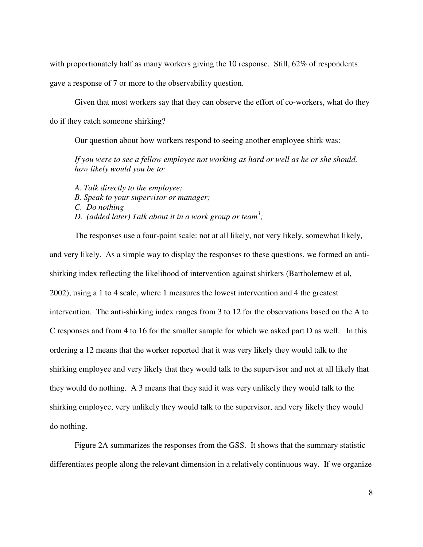with proportionately half as many workers giving the 10 response. Still, 62% of respondents

gave a response of 7 or more to the observability question.

Given that most workers say that they can observe the effort of co-workers, what do they do if they catch someone shirking?

Our question about how workers respond to seeing another employee shirk was:

*If you were to see a fellow employee not working as hard or well as he or she should, how likely would you be to:*

*A. Talk directly to the employee; B. Speak to your supervisor or manager; C. Do nothing D. (added later) Talk about it in a work group or team 3 ;*

The responses use a four-point scale: not at all likely, not very likely, somewhat likely, and very likely. As a simple way to display the responses to these questions, we formed an antishirking index reflecting the likelihood of intervention against shirkers (Bartholemew et al, 2002), using a 1 to 4 scale, where 1 measures the lowest intervention and 4 the greatest intervention. The anti-shirking index ranges from 3 to 12 for the observations based on the A to C responses and from 4 to 16 for the smaller sample for which we asked part D as well. In this ordering a 12 means that the worker reported that it was very likely they would talk to the shirking employee and very likely that they would talk to the supervisor and not at all likely that they would do nothing. A 3 means that they said it was very unlikely they would talk to the shirking employee, very unlikely they would talk to the supervisor, and very likely they would do nothing.

Figure 2A summarizes the responses from the GSS. It shows that the summary statistic differentiates people along the relevant dimension in a relatively continuous way. If we organize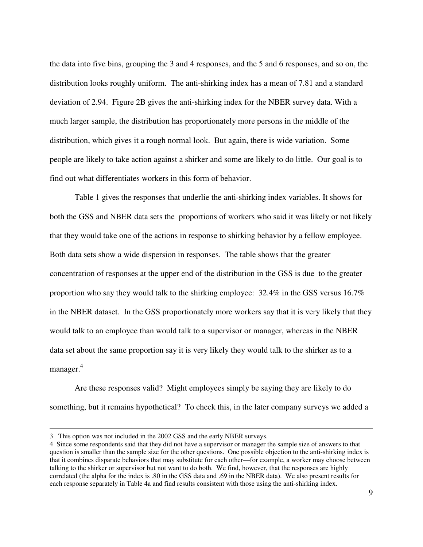the data into five bins, grouping the 3 and 4 responses, and the 5 and 6 responses, and so on, the distribution looks roughly uniform. The anti-shirking index has a mean of 7.81 and a standard deviation of 2.94. Figure 2B gives the anti-shirking index for the NBER survey data. With a much larger sample, the distribution has proportionately more persons in the middle of the distribution, which gives it a rough normal look. But again, there is wide variation. Some people are likely to take action against a shirker and some are likely to do little. Our goal is to find out what differentiates workers in this form of behavior.

Table 1 gives the responses that underlie the anti-shirking index variables. It shows for both the GSS and NBER data sets the proportions of workers who said it was likely or not likely that they would take one of the actions in response to shirking behavior by a fellow employee. Both data sets show a wide dispersion in responses. The table shows that the greater concentration of responses at the upper end of the distribution in the GSS is due to the greater proportion who say they would talk to the shirking employee: 32.4% in the GSS versus 16.7% in the NBER dataset. In the GSS proportionately more workers say that it is very likely that they would talk to an employee than would talk to a supervisor or manager, whereas in the NBER data set about the same proportion say it is very likely they would talk to the shirker as to a manager. 4

Are these responses valid? Might employees simply be saying they are likely to do something, but it remains hypothetical? To check this, in the later company surveys we added a

<sup>3</sup> This option was not included in the 2002 GSS and the early NBER surveys.

<sup>4</sup> Since some respondents said that they did not have a supervisor or manager the sample size of answers to that question is smaller than the sample size for the other questions. One possible objection to the anti-shirking index is that it combines disparate behaviors that may substitute for each other—for example, a worker may choose between talking to the shirker or supervisor but not want to do both. We find, however, that the responses are highly correlated (the alpha for the index is .80 in the GSS data and .69 in the NBER data). We also present results for each response separately in Table 4a and find results consistent with those using the anti-shirking index.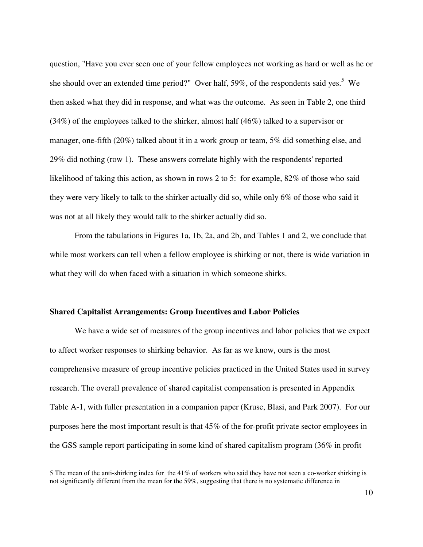question, "Have you ever seen one of your fellow employees not working as hard or well as he or she should over an extended time period?" Over half, 59%, of the respondents said yes.<sup>5</sup> We then asked what they did in response, and what was the outcome. As seen in Table 2, one third (34%) of the employees talked to the shirker, almost half (46%) talked to a supervisor or manager, one-fifth (20%) talked about it in a work group or team, 5% did something else, and 29% did nothing (row 1). These answers correlate highly with the respondents'reported likelihood of taking this action, as shown in rows 2 to 5: for example, 82% of those who said they were very likely to talk to the shirker actually did so, while only 6% of those who said it was not at all likely they would talk to the shirker actually did so.

From the tabulations in Figures 1a, 1b, 2a, and 2b, and Tables 1 and 2, we conclude that while most workers can tell when a fellow employee is shirking or not, there is wide variation in what they will do when faced with a situation in which someone shirks.

#### **Shared Capitalist Arrangements: Group Incentives and Labor Policies**

We have a wide set of measures of the group incentives and labor policies that we expect to affect worker responses to shirking behavior. As far as we know, ours is the most comprehensive measure of group incentive policies practiced in the United States used in survey research. The overall prevalence of shared capitalist compensation is presented in Appendix Table A-1, with fuller presentation in a companion paper (Kruse, Blasi, and Park 2007). For our purposes here the most important result is that 45% of the for-profit private sector employees in the GSS sample report participating in some kind of shared capitalism program (36% in profit

<sup>5</sup> The mean of the anti-shirking index for the 41% of workers who said they have not seen a co-worker shirking is not significantly different from the mean for the 59%, suggesting that there is no systematic difference in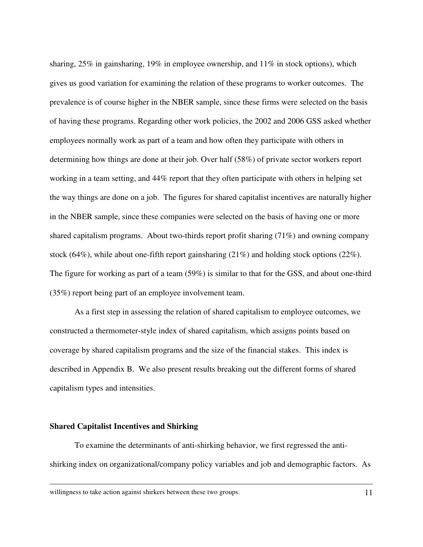sharing, 25% in gainsharing, 19% in employee ownership, and 11% in stock options), which gives us good variation for examining the relation of these programs to worker outcomes. The prevalence is of course higher in the NBER sample, since these firms were selected on the basis of having these programs. Regarding other work policies, the 2002 and 2006 GSS asked whether employees normally work as part of a team and how often they participate with others in determining how things are done at their job. Over half (58%) of private sector workers report working in a team setting, and 44% report that they often participate with others in helping set the way things are done on a job. The figures for shared capitalist incentives are naturally higher in the NBER sample, since these companies were selected on the basis of having one or more shared capitalism programs. About two-thirds report profit sharing (71%) and owning company stock (64%), while about one-fifth report gainsharing (21%) and holding stock options (22%). The figure for working as part of a team (59%) is similar to that for the GSS, and about one-third (35%) report being part of an employee involvement team.

As a first step in assessing the relation of shared capitalism to employee outcomes, we constructed a thermometer-style index of shared capitalism, which assigns points based on coverage by shared capitalism programs and the size of the financial stakes. This index is described in Appendix B. We also present results breaking out the different forms of shared capitalism types and intensities.

#### **Shared Capitalist Incentives and Shirking**

To examine the determinants of anti-shirking behavior, we first regressed the antishirking index on organizational/company policy variables and job and demographic factors. As

willingness to take action against shirkers between these two groups.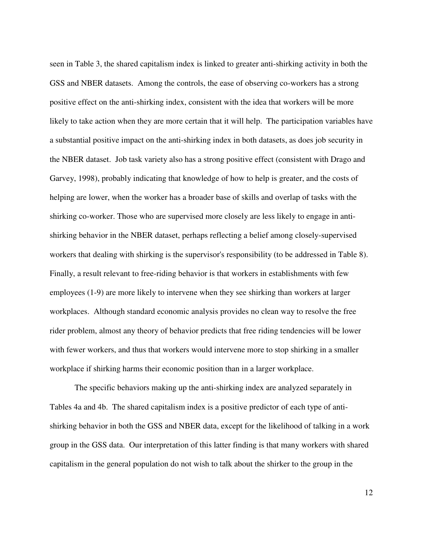seen in Table 3, the shared capitalism index is linked to greater anti-shirking activity in both the GSS and NBER datasets. Among the controls, the ease of observing co-workers has a strong positive effect on the anti-shirking index, consistent with the idea that workers will be more likely to take action when they are more certain that it will help. The participation variables have a substantial positive impact on the anti-shirking index in both datasets, as does job security in the NBER dataset. Job task variety also has a strong positive effect (consistent with Drago and Garvey, 1998), probably indicating that knowledge of how to help is greater, and the costs of helping are lower, when the worker has a broader base of skills and overlap of tasks with the shirking co-worker. Those who are supervised more closely are less likely to engage in antishirking behavior in the NBER dataset, perhaps reflecting a belief among closely-supervised workers that dealing with shirking is the supervisor's responsibility (to be addressed in Table 8). Finally, a result relevant to free-riding behavior is that workers in establishments with few employees (1-9) are more likely to intervene when they see shirking than workers at larger workplaces. Although standard economic analysis provides no clean way to resolve the free rider problem, almost any theory of behavior predicts that free riding tendencies will be lower with fewer workers, and thus that workers would intervene more to stop shirking in a smaller workplace if shirking harms their economic position than in a larger workplace.

The specific behaviors making up the anti-shirking index are analyzed separately in Tables 4a and 4b. The shared capitalism index is a positive predictor of each type of antishirking behavior in both the GSS and NBER data, except for the likelihood of talking in a work group in the GSS data. Our interpretation of this latter finding is that many workers with shared capitalism in the general population do not wish to talk about the shirker to the group in the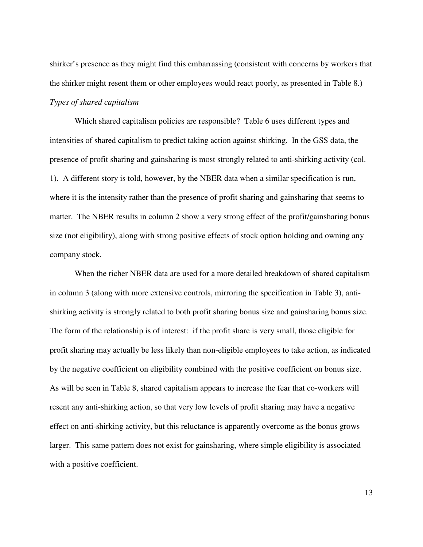shirker's presence as they might find this embarrassing (consistent with concerns by workers that the shirker might resent them or other employees would react poorly, as presented in Table 8.) *Types of shared capitalism*

Which shared capitalism policies are responsible? Table 6 uses different types and intensities of shared capitalism to predict taking action against shirking. In the GSS data, the presence of profit sharing and gainsharing is most strongly related to anti-shirking activity (col. 1). A different story is told, however, by the NBER data when a similar specification is run, where it is the intensity rather than the presence of profit sharing and gainsharing that seems to matter. The NBER results in column 2 show a very strong effect of the profit/gainsharing bonus size (not eligibility), along with strong positive effects of stock option holding and owning any company stock.

When the richer NBER data are used for a more detailed breakdown of shared capitalism in column 3 (along with more extensive controls, mirroring the specification in Table 3), antishirking activity is strongly related to both profit sharing bonus size and gainsharing bonus size. The form of the relationship is of interest: if the profit share is very small, those eligible for profit sharing may actually be less likely than non-eligible employees to take action, as indicated by the negative coefficient on eligibility combined with the positive coefficient on bonus size. As will be seen in Table 8, shared capitalism appears to increase the fear that co-workers will resent any anti-shirking action, so that very low levels of profit sharing may have a negative effect on anti-shirking activity, but this reluctance is apparently overcome as the bonus grows larger. This same pattern does not exist for gainsharing, where simple eligibility is associated with a positive coefficient.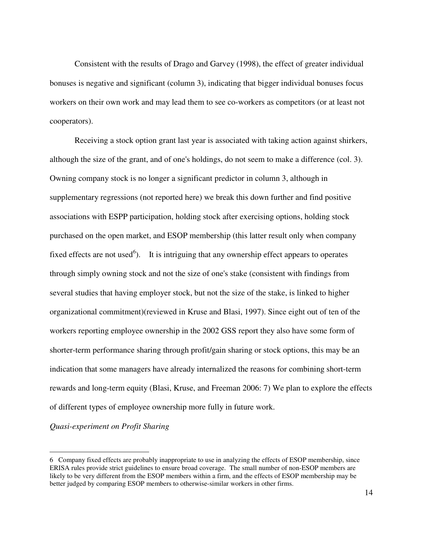Consistent with the results of Drago and Garvey (1998), the effect of greater individual bonuses is negative and significant (column 3), indicating that bigger individual bonuses focus workers on their own work and may lead them to see co-workers as competitors (or at least not cooperators).

Receiving a stock option grant last year is associated with taking action against shirkers, although the size of the grant, and of one's holdings, do not seem to make a difference (col. 3). Owning company stock is no longer a significant predictor in column 3, although in supplementary regressions (not reported here) we break this down further and find positive associations with ESPP participation, holding stock after exercising options, holding stock purchased on the open market, and ESOP membership (this latter result only when company fixed effects are not used<sup>6</sup>). It is intriguing that any ownership effect appears to operates through simply owning stock and not the size of one's stake (consistent with findings from several studies that having employer stock, but not the size of the stake, is linked to higher organizational commitment)(reviewed in Kruse and Blasi, 1997). Since eight out of ten of the workers reporting employee ownership in the 2002 GSS report they also have some form of shorter-term performance sharing through profit/gain sharing or stock options, this may be an indication that some managers have already internalized the reasons for combining short-term rewards and long-term equity (Blasi, Kruse, and Freeman 2006: 7) We plan to explore the effects of different types of employee ownership more fully in future work.

*Quasi-experiment on Profit Sharing*

<sup>6</sup> Company fixed effects are probably inappropriate to use in analyzing the effects of ESOP membership, since ERISA rules provide strict guidelines to ensure broad coverage. The small number of non-ESOP members are likely to be very different from the ESOP members within a firm, and the effects of ESOP membership may be better judged by comparing ESOP members to otherwise-similar workers in other firms.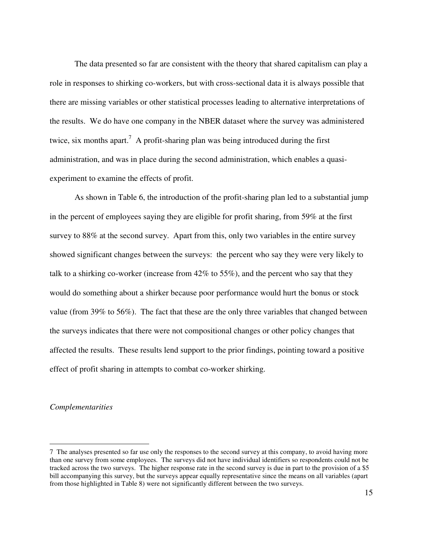The data presented so far are consistent with the theory that shared capitalism can play a role in responses to shirking co-workers, but with cross-sectional data it is always possible that there are missing variables or other statistical processes leading to alternative interpretations of the results. We do have one company in the NBER dataset where the survey was administered twice, six months apart.<sup>7</sup> A profit-sharing plan was being introduced during the first administration, and was in place during the second administration, which enables a quasiexperiment to examine the effects of profit.

As shown in Table 6, the introduction of the profit-sharing plan led to a substantial jump in the percent of employees saying they are eligible for profit sharing, from 59% at the first survey to 88% at the second survey. Apart from this, only two variables in the entire survey showed significant changes between the surveys: the percent who say they were very likely to talk to a shirking co-worker (increase from  $42\%$  to 55%), and the percent who say that they would do something about a shirker because poor performance would hurt the bonus or stock value (from 39% to 56%). The fact that these are the only three variables that changed between the surveys indicates that there were not compositional changes or other policy changes that affected the results. These results lend support to the prior findings, pointing toward a positive effect of profit sharing in attempts to combat co-worker shirking.

#### *Complementarities*

<sup>7</sup> The analyses presented so far use only the responses to the second survey at this company, to avoid having more than one survey from some employees. The surveys did not have individual identifiers so respondents could not be tracked across the two surveys. The higher response rate in the second survey is due in part to the provision of a \$5 bill accompanying this survey, but the surveys appear equally representative since the means on all variables (apart from those highlighted in Table 8) were not significantly different between the two surveys.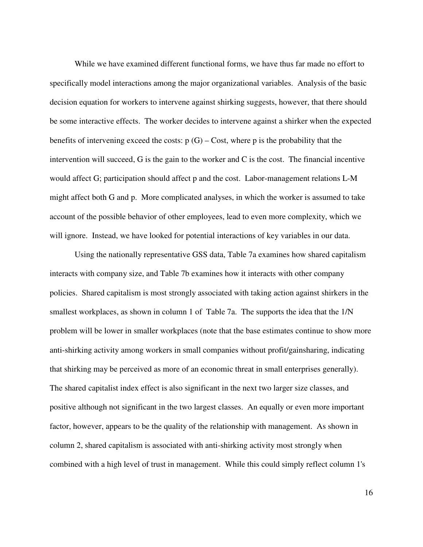While we have examined different functional forms, we have thus far made no effort to specifically model interactions among the major organizational variables. Analysis of the basic decision equation for workers to intervene against shirking suggests, however, that there should be some interactive effects. The worker decides to intervene against a shirker when the expected benefits of intervening exceed the costs:  $p(G)$  – Cost, where p is the probability that the intervention will succeed, G is the gain to the worker and C is the cost. The financial incentive would affect G; participation should affect p and the cost. Labor-management relations L-M might affect both G and p. More complicated analyses, in which the worker is assumed to take account of the possible behavior of other employees, lead to even more complexity, which we will ignore. Instead, we have looked for potential interactions of key variables in our data.

Using the nationally representative GSS data, Table 7a examines how shared capitalism interacts with company size, and Table 7b examines how it interacts with other company policies. Shared capitalism is most strongly associated with taking action against shirkers in the smallest workplaces, as shown in column 1 of Table 7a. The supports the idea that the 1/N problem will be lower in smaller workplaces (note that the base estimates continue to show more anti-shirking activity among workers in small companies without profit/gainsharing, indicating that shirking may be perceived as more of an economic threat in small enterprises generally). The shared capitalist index effect is also significant in the next two larger size classes, and positive although not significant in the two largest classes. An equally or even more important factor, however, appears to be the quality of the relationship with management. As shown in column 2, shared capitalism is associated with anti-shirking activity most strongly when combined with a high level of trust in management. While this could simply reflect column 1's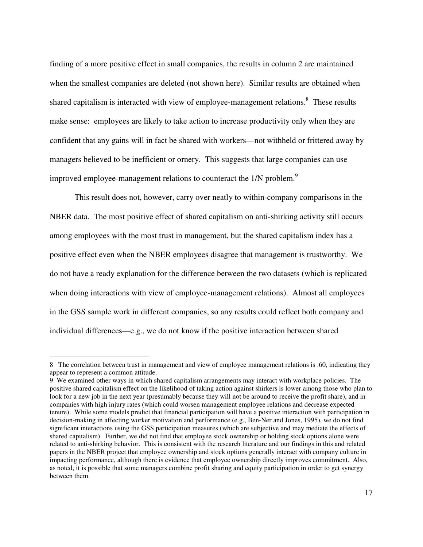finding of a more positive effect in small companies, the results in column 2 are maintained when the smallest companies are deleted (not shown here). Similar results are obtained when shared capitalism is interacted with view of employee-management relations.<sup>8</sup> These results make sense: employees are likely to take action to increase productivity only when they are confident that any gains will in fact be shared with workers—not withheld or frittered away by managers believed to be inefficient or ornery. This suggests that large companies can use improved employee-management relations to counteract the 1/N problem.<sup>9</sup>

This result does not, however, carry over neatly to within-company comparisons in the NBER data. The most positive effect of shared capitalism on anti-shirking activity still occurs among employees with the most trust in management, but the shared capitalism index has a positive effect even when the NBER employees disagree that management is trustworthy. We do not have a ready explanation for the difference between the two datasets (which is replicated when doing interactions with view of employee-management relations). Almost all employees in the GSS sample work in different companies, so any results could reflect both company and individual differences—e.g., we do not know if the positive interaction between shared

<sup>8</sup> The correlation between trust in management and view of employee management relations is .60, indicating they appear to represent a common attitude.

<sup>9</sup> We examined other ways in which shared capitalism arrangements may interact with workplace policies. The positive shared capitalism effect on the likelihood of taking action against shirkers is lower among those who plan to look for a new job in the next year (presumably because they will not be around to receive the profit share), and in companies with high injury rates (which could worsen management employee relations and decrease expected tenure). While some models predict that financial participation will have a positive interaction with participation in decision-making in affecting worker motivation and performance (e.g., Ben-Ner and Jones, 1995), we do not find significant interactions using the GSS participation measures (which are subjective and may mediate the effects of shared capitalism). Further, we did not find that employee stock ownership or holding stock options alone were related to anti-shirking behavior. This is consistent with the research literature and our findings in this and related papers in the NBER project that employee ownership and stock options generally interact with company culture in impacting performance, although there is evidence that employee ownership directly improves commitment. Also, as noted, it is possible that some managers combine profit sharing and equity participation in order to get synergy between them.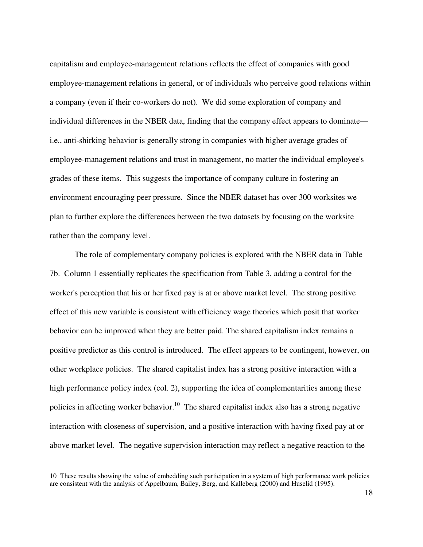capitalism and employee-management relations reflects the effect of companies with good employee-management relations in general, or of individuals who perceive good relations within a company (even if their co-workers do not). We did some exploration of company and individual differences in the NBER data, finding that the company effect appears to dominate i.e., anti-shirking behavior is generally strong in companies with higher average grades of employee-management relations and trust in management, no matter the individual employee's grades of these items. This suggests the importance of company culture in fostering an environment encouraging peer pressure. Since the NBER dataset has over 300 worksites we plan to further explore the differences between the two datasets by focusing on the worksite rather than the company level.

The role of complementary company policies is explored with the NBER data in Table 7b. Column 1 essentially replicates the specification from Table 3, adding a control for the worker's perception that his or her fixed pay is at or above market level. The strong positive effect of this new variable is consistent with efficiency wage theories which posit that worker behavior can be improved when they are better paid. The shared capitalism index remains a positive predictor as this control is introduced. The effect appears to be contingent, however, on other workplace policies. The shared capitalist index has a strong positive interaction with a high performance policy index (col. 2), supporting the idea of complementarities among these policies in affecting worker behavior.<sup>10</sup> The shared capitalist index also has a strong negative interaction with closeness of supervision, and a positive interaction with having fixed pay at or above market level. The negative supervision interaction may reflect a negative reaction to the

<sup>10</sup> These results showing the value of embedding such participation in a system of high performance work policies are consistent with the analysis of Appelbaum, Bailey, Berg, and Kalleberg (2000) and Huselid (1995).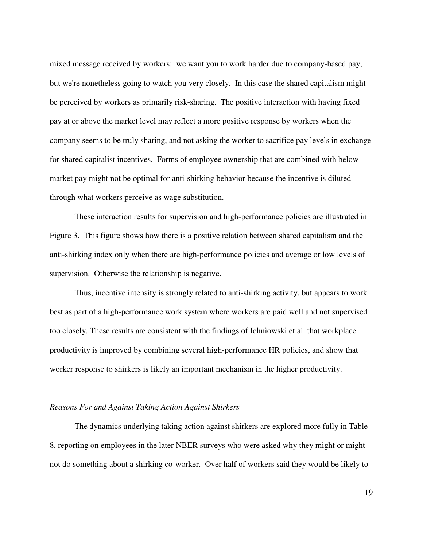mixed message received by workers: we want you to work harder due to company-based pay, but we're nonetheless going to watch you very closely. In this case the shared capitalism might be perceived by workers as primarily risk-sharing. The positive interaction with having fixed pay at or above the market level may reflect a more positive response by workers when the company seems to be truly sharing, and not asking the worker to sacrifice pay levels in exchange for shared capitalist incentives. Forms of employee ownership that are combined with belowmarket pay might not be optimal for anti-shirking behavior because the incentive is diluted through what workers perceive as wage substitution.

These interaction results for supervision and high-performance policies are illustrated in Figure 3. This figure shows how there is a positive relation between shared capitalism and the anti-shirking index only when there are high-performance policies and average or low levels of supervision. Otherwise the relationship is negative.

Thus, incentive intensity is strongly related to anti-shirking activity, but appears to work best as part of a high-performance work system where workers are paid well and not supervised too closely. These results are consistent with the findings of Ichniowski et al. that workplace productivity is improved by combining several high-performance HR policies, and show that worker response to shirkers is likely an important mechanism in the higher productivity.

#### *Reasons For and Against Taking Action Against Shirkers*

The dynamics underlying taking action against shirkers are explored more fully in Table 8, reporting on employees in the later NBER surveys who were asked why they might or might not do something about a shirking co-worker. Over half of workers said they would be likely to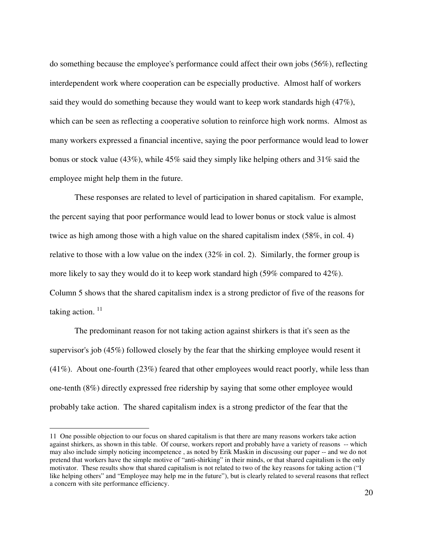do something because the employee's performance could affect their own jobs (56%), reflecting interdependent work where cooperation can be especially productive. Almost half of workers said they would do something because they would want to keep work standards high (47%), which can be seen as reflecting a cooperative solution to reinforce high work norms. Almost as many workers expressed a financial incentive, saying the poor performance would lead to lower bonus or stock value (43%), while 45% said they simply like helping others and 31% said the employee might help them in the future.

These responses are related to level of participation in shared capitalism. For example, the percent saying that poor performance would lead to lower bonus or stock value is almost twice as high among those with a high value on the shared capitalism index (58%, in col. 4) relative to those with a low value on the index (32% in col. 2). Similarly, the former group is more likely to say they would do it to keep work standard high (59% compared to 42%). Column 5 shows that the shared capitalism index is a strong predictor of five of the reasons for taking action.<sup>11</sup>

The predominant reason for not taking action against shirkers is that it's seen as the supervisor's job (45%) followed closely by the fear that the shirking employee would resent it (41%). About one-fourth (23%) feared that other employees would react poorly, while less than one-tenth (8%) directly expressed free ridership by saying that some other employee would probably take action. The shared capitalism index is a strong predictor of the fear that the

<sup>11</sup> One possible objection to our focus on shared capitalism is that there are many reasons workers take action against shirkers, as shown in this table. Of course, workers report and probably have a variety of reasons -- which may also include simply noticing incompetence , as noted by Erik Maskin in discussing our paper -- and we do not pretend that workers have the simple motive of "anti-shirking" in their minds, or that shared capitalism is the only motivator. These results show that shared capitalism is not related to two of the key reasons for taking action ("I like helping others" and "Employee may help me in the future"), but is clearly related to several reasons that reflect a concern with site performance efficiency.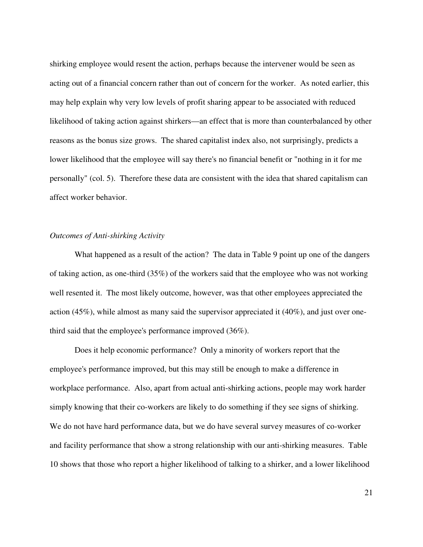shirking employee would resent the action, perhaps because the intervener would be seen as acting out of a financial concern rather than out of concern for the worker. As noted earlier, this may help explain why very low levels of profit sharing appear to be associated with reduced likelihood of taking action against shirkers—an effect that is more than counterbalanced by other reasons as the bonus size grows. The shared capitalist index also, not surprisingly, predicts a lower likelihood that the employee will say there's no financial benefit or "nothing in it for me personally" (col. 5). Therefore these data are consistent with the idea that shared capitalism can affect worker behavior.

#### *Outcomes of Anti-shirking Activity*

What happened as a result of the action? The data in Table 9 point up one of the dangers of taking action, as one-third (35%) of the workers said that the employee who was not working well resented it. The most likely outcome, however, was that other employees appreciated the action (45%), while almost as many said the supervisor appreciated it (40%), and just over onethird said that the employee's performance improved (36%).

Does it help economic performance? Only a minority of workers report that the employee's performance improved, but this may still be enough to make a difference in workplace performance. Also, apart from actual anti-shirking actions, people may work harder simply knowing that their co-workers are likely to do something if they see signs of shirking. We do not have hard performance data, but we do have several survey measures of co-worker and facility performance that show a strong relationship with our anti-shirking measures. Table 10 shows that those who report a higher likelihood of talking to a shirker, and a lower likelihood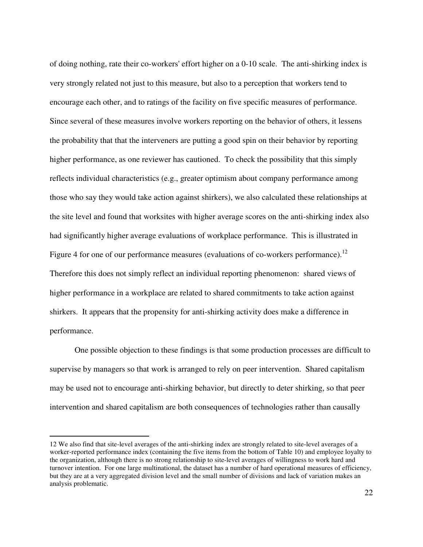of doing nothing, rate their co-workers'effort higher on a 0-10 scale. The anti-shirking index is very strongly related not just to this measure, but also to a perception that workers tend to encourage each other, and to ratings of the facility on five specific measures of performance. Since several of these measures involve workers reporting on the behavior of others, it lessens the probability that that the interveners are putting a good spin on their behavior by reporting higher performance, as one reviewer has cautioned. To check the possibility that this simply reflects individual characteristics (e.g., greater optimism about company performance among those who say they would take action against shirkers), we also calculated these relationships at the site level and found that worksites with higher average scores on the anti-shirking index also had significantly higher average evaluations of workplace performance. This is illustrated in Figure 4 for one of our performance measures (evaluations of co-workers performance).<sup>12</sup> Therefore this does not simply reflect an individual reporting phenomenon: shared views of higher performance in a workplace are related to shared commitments to take action against shirkers. It appears that the propensity for anti-shirking activity does make a difference in performance.

One possible objection to these findings is that some production processes are difficult to supervise by managers so that work is arranged to rely on peer intervention. Shared capitalism may be used not to encourage anti-shirking behavior, but directly to deter shirking, so that peer intervention and shared capitalism are both consequences of technologies rather than causally

<sup>12</sup> We also find that site-level averages of the anti-shirking index are strongly related to site-level averages of a worker-reported performance index (containing the five items from the bottom of Table 10) and employee loyalty to the organization, although there is no strong relationship to site-level averages of willingness to work hard and turnover intention. For one large multinational, the dataset has a number of hard operational measures of efficiency, but they are at a very aggregated division level and the small number of divisions and lack of variation makes an analysis problematic.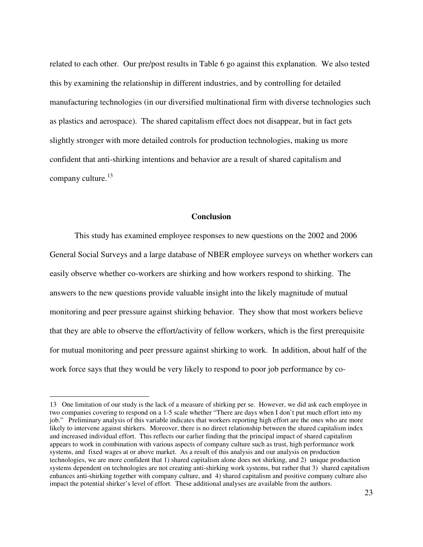related to each other. Our pre/post results in Table 6 go against this explanation. We also tested this by examining the relationship in different industries, and by controlling for detailed manufacturing technologies (in our diversified multinational firm with diverse technologies such as plastics and aerospace). The shared capitalism effect does not disappear, but in fact gets slightly stronger with more detailed controls for production technologies, making us more confident that anti-shirking intentions and behavior are a result of shared capitalism and company culture. 13

#### **Conclusion**

This study has examined employee responses to new questions on the 2002 and 2006 General Social Surveys and a large database of NBER employee surveys on whether workers can easily observe whether co-workers are shirking and how workers respond to shirking. The answers to the new questions provide valuable insight into the likely magnitude of mutual monitoring and peer pressure against shirking behavior. They show that most workers believe that they are able to observe the effort/activity of fellow workers, which is the first prerequisite for mutual monitoring and peer pressure against shirking to work. In addition, about half of the work force says that they would be very likely to respond to poor job performance by co-

<sup>13</sup> One limitation of our study is the lack of a measure of shirking per se. However, we did ask each employee in two companies covering to respond on a 1-5 scale whether "There are days when I don't put much effort into my job." Preliminary analysis of this variable indicates that workers reporting high effort are the ones who are more likely to intervene against shirkers. Moreover, there is no direct relationship between the shared capitalism index and increased individual effort. This reflects our earlier finding that the principal impact of shared capitalism appears to work in combination with various aspects of company culture such as trust, high performance work systems, and fixed wages at or above market. As a result of this analysis and our analysis on production technologies, we are more confident that 1) shared capitalism alone does not shirking, and 2) unique production systems dependent on technologies are not creating anti-shirking work systems, but rather that 3) shared capitalism enhances anti-shirking together with company culture, and 4) shared capitalism and positive company culture also impact the potential shirker's level of effort. These additional analyses are available from the authors.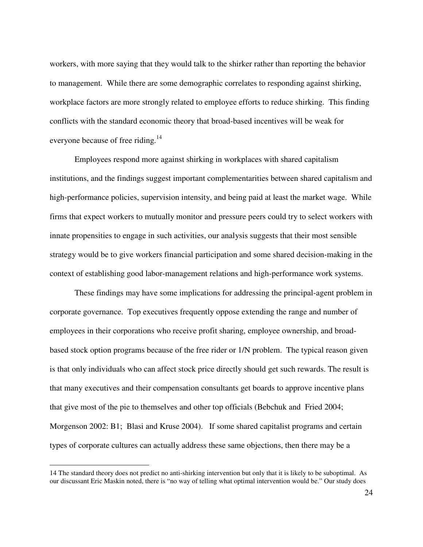workers, with more saying that they would talk to the shirker rather than reporting the behavior to management. While there are some demographic correlates to responding against shirking, workplace factors are more strongly related to employee efforts to reduce shirking. This finding conflicts with the standard economic theory that broad-based incentives will be weak for everyone because of free riding.<sup>14</sup>

Employees respond more against shirking in workplaces with shared capitalism institutions, and the findings suggest important complementarities between shared capitalism and high-performance policies, supervision intensity, and being paid at least the market wage. While firms that expect workers to mutually monitor and pressure peers could try to select workers with innate propensities to engage in such activities, our analysis suggests that their most sensible strategy would be to give workers financial participation and some shared decision-making in the context of establishing good labor-management relations and high-performance work systems.

These findings may have some implications for addressing the principal-agent problem in corporate governance. Top executives frequently oppose extending the range and number of employees in their corporations who receive profit sharing, employee ownership, and broadbased stock option programs because of the free rider or 1/N problem. The typical reason given is that only individuals who can affect stock price directly should get such rewards. The result is that many executives and their compensation consultants get boards to approve incentive plans that give most of the pie to themselves and other top officials (Bebchuk and Fried 2004; Morgenson 2002: B1; Blasi and Kruse 2004). If some shared capitalist programs and certain types of corporate cultures can actually address these same objections, then there may be a

<sup>14</sup> The standard theory does not predict no anti-shirking intervention but only that it is likely to be suboptimal. As our discussant Eric Maskin noted, there is "no way of telling what optimal intervention would be." Our study does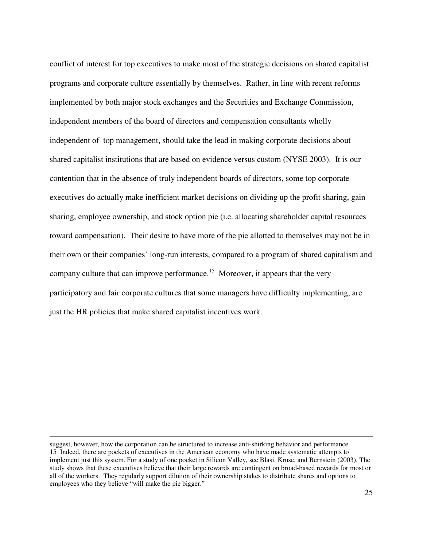conflict of interest for top executives to make most of the strategic decisions on shared capitalist programs and corporate culture essentially by themselves. Rather, in line with recent reforms implemented by both major stock exchanges and the Securities and Exchange Commission, independent members of the board of directors and compensation consultants wholly independent of top management, should take the lead in making corporate decisions about shared capitalist institutions that are based on evidence versus custom (NYSE 2003). It is our contention that in the absence of truly independent boards of directors, some top corporate executives do actually make inefficient market decisions on dividing up the profit sharing, gain sharing, employee ownership, and stock option pie (i.e. allocating shareholder capital resources toward compensation). Their desire to have more of the pie allotted to themselves may not be in their own or their companies' long-run interests, compared to a program of shared capitalism and company culture that can improve performance.<sup>15</sup> Moreover, it appears that the very participatory and fair corporate cultures that some managers have difficulty implementing, are just the HR policies that make shared capitalist incentives work.

suggest, however, how the corporation can be structured to increase anti-shirking behavior and performance. 15 Indeed, there are pockets of executives in the American economy who have made systematic attempts to implement just this system. For a study of one pocket in Silicon Valley, see Blasi, Kruse, and Bernstein (2003). The study shows that these executives believe that their large rewards are contingent on broad-based rewards for most or all of the workers. They regularly support dilution of their ownership stakes to distribute shares and options to employees who they believe "will make the pie bigger."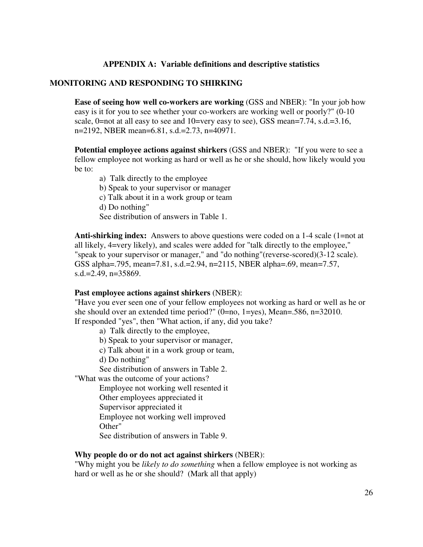### **APPENDIX A: Variable definitions and descriptive statistics**

### **MONITORING AND RESPONDING TO SHIRKING**

**Ease of seeing how well co-workers are working** (GSS and NBER): "In your job how easy is it for you to see whether your co-workers are working well or poorly?" (0-10 scale, 0=not at all easy to see and 10=very easy to see), GSS mean=7.74, s.d.=3.16, n=2192, NBER mean=6.81, s.d.=2.73, n=40971.

**Potential employee actions against shirkers** (GSS and NBER): "If you were to see a fellow employee not working as hard or well as he or she should, how likely would you be to:

a) Talk directly to the employee b) Speak to your supervisor or manager c) Talk about it in a work group or team d) Do nothing" See distribution of answers in Table 1.

**Anti-shirking index:** Answers to above questions were coded on a 1-4 scale (1=not at all likely, 4=very likely), and scales were added for "talk directly to the employee," "speak to your supervisor or manager," and "do nothing"(reverse-scored)(3-12 scale). GSS alpha=.795, mean=7.81, s.d.=2.94, n=2115, NBER alpha=.69, mean=7.57, s.d.=2.49, n=35869.

#### **Past employee actions against shirkers** (NBER):

"Have you ever seen one of your fellow employees not working as hard or well as he or she should over an extended time period?" (0=no, 1=yes), Mean=.586, n=32010. If responded "yes", then "What action, if any, did you take?

a) Talk directly to the employee,

b) Speak to your supervisor or manager,

c) Talk about it in a work group or team,

d) Do nothing"

See distribution of answers in Table 2.

"What was the outcome of your actions?

Employee not working well resented it

Other employees appreciated it

Supervisor appreciated it

Employee not working well improved

Other"

See distribution of answers in Table 9.

#### **Why people do or do not act against shirkers** (NBER):

"Why might you be *likely to do something* when a fellow employee is not working as hard or well as he or she should? (Mark all that apply)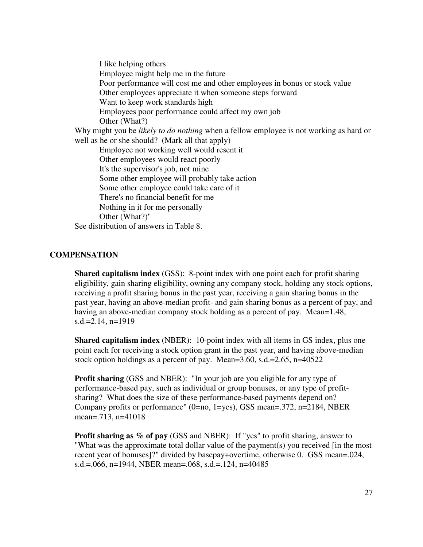I like helping others Employee might help me in the future Poor performance will cost me and other employees in bonus or stock value Other employees appreciate it when someone steps forward Want to keep work standards high Employees poor performance could affect my own job Other (What?) Why might you be *likely to do nothing* when a fellow employee is not working as hard or well as he or she should? (Mark all that apply) Employee not working well would resent it Other employees would react poorly It's the supervisor's job, not mine Some other employee will probably take action Some other employee could take care of it There's no financial benefit for me Nothing in it for me personally Other (What?)"

See distribution of answers in Table 8.

#### **COMPENSATION**

**Shared capitalism index** (GSS): 8-point index with one point each for profit sharing eligibility, gain sharing eligibility, owning any company stock, holding any stock options, receiving a profit sharing bonus in the past year, receiving a gain sharing bonus in the past year, having an above-median profit- and gain sharing bonus as a percent of pay, and having an above-median company stock holding as a percent of pay. Mean=1.48, s.d.=2.14, n=1919

**Shared capitalism index** (NBER): 10-point index with all items in GS index, plus one point each for receiving a stock option grant in the past year, and having above-median stock option holdings as a percent of pay. Mean=3.60, s.d.=2.65, n=40522

**Profit sharing** (GSS and NBER): "In your job are you eligible for any type of performance-based pay, such as individual or group bonuses, or any type of profitsharing? What does the size of these performance-based payments depend on? Company profits or performance" (0=no, 1=yes), GSS mean=.372, n=2184, NBER mean=.713, n=41018

**Profit sharing as % of pay** (GSS and NBER): If "yes" to profit sharing, answer to "What was the approximate total dollar value of the payment(s) you received [in the most recent year of bonuses]?" divided by basepay+overtime, otherwise 0. GSS mean=.024, s.d.=.066, n=1944, NBER mean=.068, s.d.=.124, n=40485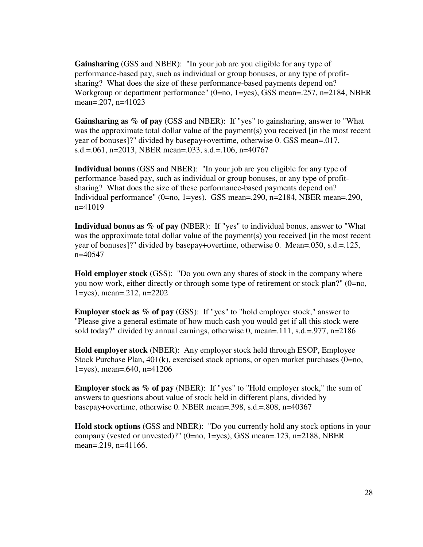**Gainsharing** (GSS and NBER): "In your job are you eligible for any type of performance-based pay, such as individual or group bonuses, or any type of profitsharing? What does the size of these performance-based payments depend on? Workgroup or department performance" (0=no, 1=yes), GSS mean=.257, n=2184, NBER mean=.207, n=41023

**Gainsharing as % of pay** (GSS and NBER): If "yes" to gainsharing, answer to "What was the approximate total dollar value of the payment(s) you received [in the most recent year of bonuses]?" divided by basepay+overtime, otherwise 0. GSS mean=.017, s.d.=.061, n=2013, NBER mean=.033, s.d.=.106, n=40767

**Individual bonus** (GSS and NBER): "In your job are you eligible for any type of performance-based pay, such as individual or group bonuses, or any type of profitsharing? What does the size of these performance-based payments depend on? Individual performance" (0=no, 1=yes). GSS mean=.290, n=2184, NBER mean=.290, n=41019

**Individual bonus as % of pay** (NBER): If "yes" to individual bonus, answer to "What was the approximate total dollar value of the payment(s) you received [in the most recent year of bonuses]?" divided by basepay+overtime, otherwise 0. Mean=.050, s.d.=.125, n=40547

**Hold employer stock** (GSS): "Do you own any shares of stock in the company where you now work, either directly or through some type of retirement or stock plan?" (0=no, 1=yes), mean=.212, n=2202

**Employer stock as % of pay** (GSS): If "yes" to "hold employer stock," answer to "Please give a general estimate of how much cash you would get if all this stock were sold today?" divided by annual earnings, otherwise 0, mean=.111, s.d.=.977, n=2186

**Hold employer stock** (NBER): Any employer stock held through ESOP, Employee Stock Purchase Plan,  $401(k)$ , exercised stock options, or open market purchases (0=no, 1=yes), mean=.640, n=41206

**Employer stock as % of pay** (NBER): If "yes" to "Hold employer stock," the sum of answers to questions about value of stock held in different plans, divided by basepay+overtime, otherwise 0. NBER mean=.398, s.d.=.808, n=40367

**Hold stock options** (GSS and NBER): "Do you currently hold any stock options in your company (vested or unvested)?" (0=no, 1=yes), GSS mean=.123, n=2188, NBER mean=.219, n=41166.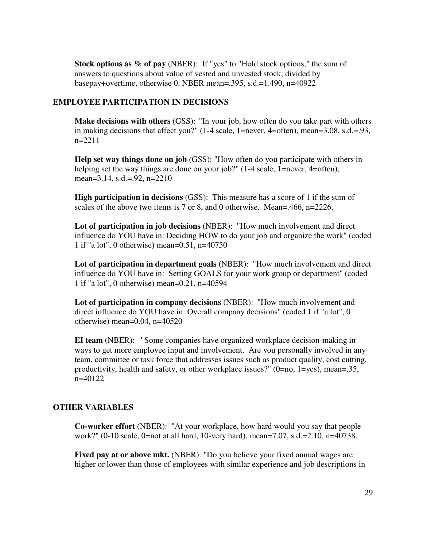**Stock options as % of pay** (NBER): If "yes" to "Hold stock options," the sum of answers to questions about value of vested and unvested stock, divided by basepay+overtime, otherwise 0. NBER mean=.395, s.d.=1.490, n=40922

#### **EMPLOYEE PARTICIPATION IN DECISIONS**

**Make decisions with others** (GSS): "In your job, how often do you take part with others in making decisions that affect you?" (1-4 scale, 1=never, 4=often), mean=3.08, s.d.=.93, n=2211

**Help set way things done on job** (GSS): "How often do you participate with others in helping set the way things are done on your job?" (1-4 scale, 1=never, 4=often), mean=3.14, s.d.=.92, n=2210

**High participation in decisions** (GSS): This measure has a score of 1 if the sum of scales of the above two items is 7 or 8, and 0 otherwise. Mean=.466, n=2226.

**Lot of participation in job decisions** (NBER): "How much involvement and direct influence do YOU have in: Deciding HOW to do your job and organize the work" (coded 1 if "a lot", 0 otherwise) mean=0.51, n=40750

**Lot of participation in department goals** (NBER): "How much involvement and direct influence do YOU have in: Setting GOALS for your work group or department" (coded 1 if "a lot", 0 otherwise) mean=0.21, n=40594

**Lot of participation in company decisions** (NBER): "How much involvement and direct influence do YOU have in: Overall company decisions" (coded 1 if "a lot", 0 otherwise) mean=0.04, n=40520

**EI team** (NBER): " Some companies have organized workplace decision-making in ways to get more employee input and involvement. Are you personally involved in any team, committee or task force that addresses issues such as product quality, cost cutting, productivity, health and safety, or other workplace issues?" (0=no, 1=yes), mean=.35, n=40122

#### **OTHER VARIABLES**

**Co-worker effort** (NBER): "At your workplace, how hard would you say that people work?" (0-10 scale, 0=not at all hard, 10-very hard), mean=7.07, s.d.=2.10, n=40738.

**Fixed pay at or above mkt.** (NBER): "Do you believe your fixed annual wages are higher or lower than those of employees with similar experience and job descriptions in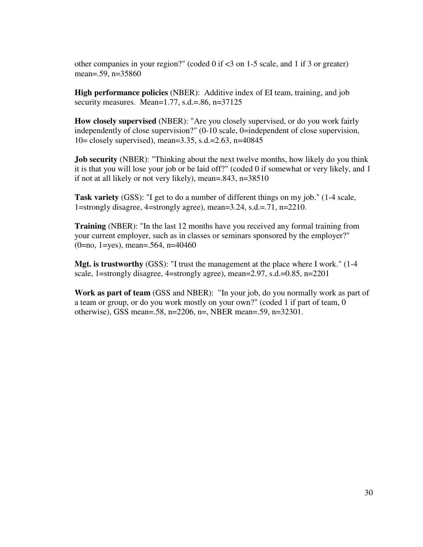other companies in your region?" (coded 0 if <3 on 1-5 scale, and 1 if 3 or greater) mean=.59, n=35860

**High performance policies** (NBER): Additive index of EI team, training, and job security measures. Mean=1.77, s.d.=.86, n=37125

**How closely supervised** (NBER): "Are you closely supervised, or do you work fairly independently of close supervision?" (0-10 scale, 0=independent of close supervision, 10= closely supervised), mean=3.35, s.d.=2.63, n=40845

**Job security** (NBER): "Thinking about the next twelve months, how likely do you think it is that you will lose your job or be laid off?" (coded 0 if somewhat or very likely, and 1 if not at all likely or not very likely), mean=.843, n=38510

**Task variety** (GSS): "I get to do a number of different things on my job." (1-4 scale, 1=strongly disagree, 4=strongly agree), mean=3.24, s.d.=.71, n=2210.

**Training** (NBER): "In the last 12 months have you received any formal training from your current employer, such as in classes or seminars sponsored by the employer?" (0=no, 1=yes), mean=.564, n=40460

**Mgt. is trustworthy** (GSS): "I trust the management at the place where I work." (1-4 scale, 1=strongly disagree, 4=strongly agree), mean=2.97, s.d.=0.85, n=2201

**Work as part of team** (GSS and NBER): "In your job, do you normally work as part of a team or group, or do you work mostly on your own?" (coded 1 if part of team, 0 otherwise), GSS mean=.58, n=2206, n=, NBER mean=.59, n=32301.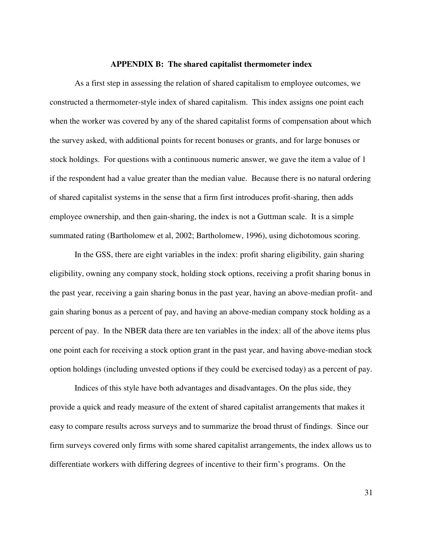#### **APPENDIX B: The shared capitalist thermometer index**

As a first step in assessing the relation of shared capitalism to employee outcomes, we constructed a thermometer-style index of shared capitalism. This index assigns one point each when the worker was covered by any of the shared capitalist forms of compensation about which the survey asked, with additional points for recent bonuses or grants, and for large bonuses or stock holdings. For questions with a continuous numeric answer, we gave the item a value of 1 if the respondent had a value greater than the median value. Because there is no natural ordering of shared capitalist systems in the sense that a firm first introduces profit-sharing, then adds employee ownership, and then gain-sharing, the index is not a Guttman scale. It is a simple summated rating (Bartholomew et al, 2002; Bartholomew, 1996), using dichotomous scoring.

In the GSS, there are eight variables in the index: profit sharing eligibility, gain sharing eligibility, owning any company stock, holding stock options, receiving a profit sharing bonus in the past year, receiving a gain sharing bonus in the past year, having an above-median profit- and gain sharing bonus as a percent of pay, and having an above-median company stock holding as a percent of pay. In the NBER data there are ten variables in the index: all of the above items plus one point each for receiving a stock option grant in the past year, and having above-median stock option holdings (including unvested options if they could be exercised today) as a percent of pay.

Indices of this style have both advantages and disadvantages. On the plus side, they provide a quick and ready measure of the extent of shared capitalist arrangements that makes it easy to compare results across surveys and to summarize the broad thrust of findings. Since our firm surveys covered only firms with some shared capitalist arrangements, the index allows us to differentiate workers with differing degrees of incentive to their firm's programs. On the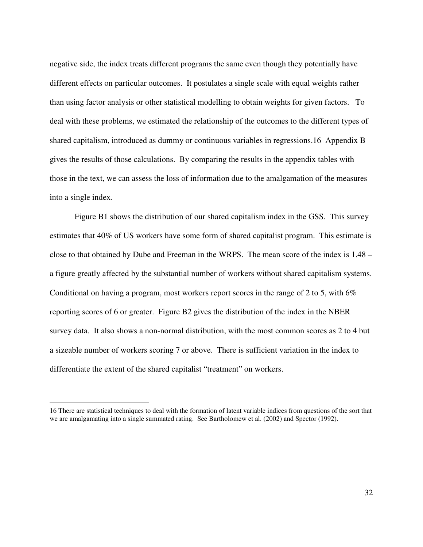negative side, the index treats different programs the same even though they potentially have different effects on particular outcomes. It postulates a single scale with equal weights rather than using factor analysis or other statistical modelling to obtain weights for given factors. To deal with these problems, we estimated the relationship of the outcomes to the different types of shared capitalism, introduced as dummy or continuous variables in regressions.16 Appendix B gives the results of those calculations. By comparing the results in the appendix tables with those in the text, we can assess the loss of information due to the amalgamation of the measures into a single index.

Figure B1 shows the distribution of our shared capitalism index in the GSS. This survey estimates that 40% of US workers have some form of shared capitalist program. This estimate is close to that obtained by Dube and Freeman in the WRPS. The mean score of the index is 1.48 – a figure greatly affected by the substantial number of workers without shared capitalism systems. Conditional on having a program, most workers report scores in the range of 2 to 5, with 6% reporting scores of 6 or greater. Figure B2 gives the distribution of the index in the NBER survey data. It also shows a non-normal distribution, with the most common scores as 2 to 4 but a sizeable number of workers scoring 7 or above. There is sufficient variation in the index to differentiate the extent of the shared capitalist "treatment" on workers.

<sup>16</sup> There are statistical techniques to deal with the formation of latent variable indices from questions of the sort that we are amalgamating into a single summated rating. See Bartholomew et al. (2002) and Spector (1992).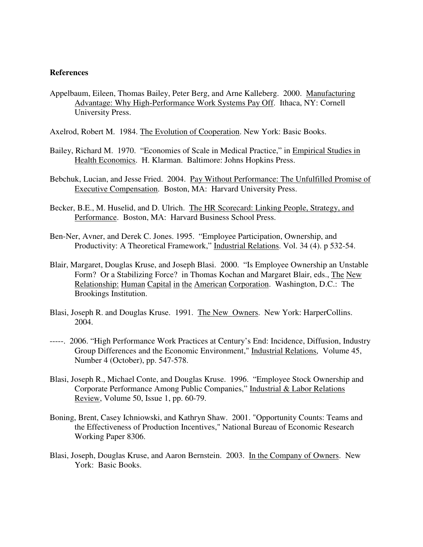#### **References**

Appelbaum, Eileen, Thomas Bailey, Peter Berg, and Arne Kalleberg. 2000. Manufacturing Advantage: Why High-Performance Work Systems Pay Off. Ithaca, NY: Cornell University Press.

Axelrod, Robert M. 1984. The Evolution of Cooperation. New York: Basic Books.

- Bailey, Richard M. 1970. "Economies of Scale in Medical Practice," in Empirical Studies in Health Economics. H. Klarman. Baltimore: Johns Hopkins Press.
- Bebchuk, Lucian, and Jesse Fried. 2004. Pay Without Performance: The Unfulfilled Promise of Executive Compensation. Boston, MA: Harvard University Press.
- Becker, B.E., M. Huselid, and D. Ulrich. The HR Scorecard: Linking People, Strategy, and Performance. Boston, MA: Harvard Business School Press.
- Ben-Ner, Avner, and Derek C. Jones. 1995. "Employee Participation, Ownership, and Productivity: A Theoretical Framework," Industrial Relations. Vol. 34 (4). p 532-54.
- Blair, Margaret, Douglas Kruse, and Joseph Blasi. 2000. "Is Employee Ownership an Unstable Form? Or a Stabilizing Force? in Thomas Kochan and Margaret Blair, eds., The New Relationship: Human Capital in the American Corporation. Washington, D.C.: The Brookings Institution.
- Blasi, Joseph R. and Douglas Kruse. 1991. The New Owners. New York: HarperCollins. 2004.
- -----. 2006. "High Performance Work Practices at Century's End: Incidence, Diffusion, Industry Group Differences and the Economic Environment," Industrial Relations, Volume 45, Number 4 (October), pp. 547-578.
- Blasi, Joseph R., Michael Conte, and Douglas Kruse. 1996. "Employee Stock Ownership and Corporate Performance Among Public Companies," Industrial & Labor Relations Review, Volume 50, Issue 1, pp. 60-79.
- Boning, Brent, Casey Ichniowski, and Kathryn Shaw. 2001. "Opportunity Counts: Teams and the Effectiveness of Production Incentives," National Bureau of Economic Research Working Paper 8306.
- Blasi, Joseph, Douglas Kruse, and Aaron Bernstein. 2003. In the Company of Owners. New York: Basic Books.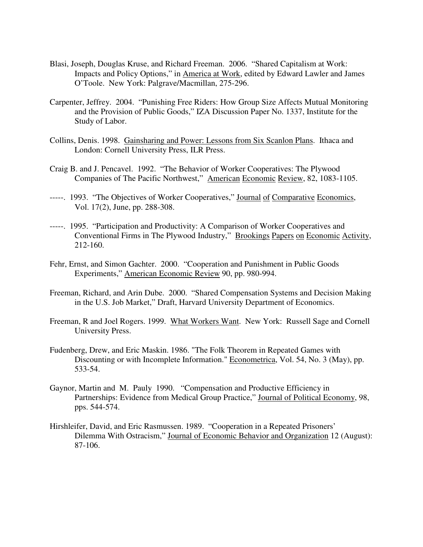- Blasi, Joseph, Douglas Kruse, and Richard Freeman. 2006. "Shared Capitalism at Work: Impacts and Policy Options," in America at Work, edited by Edward Lawler and James O'Toole. New York: Palgrave/Macmillan, 275-296.
- Carpenter, Jeffrey. 2004. "Punishing Free Riders: How Group Size Affects Mutual Monitoring and the Provision of Public Goods," IZA Discussion Paper No. 1337, Institute for the Study of Labor.
- Collins, Denis. 1998. Gainsharing and Power: Lessons from Six Scanlon Plans. Ithaca and London: Cornell University Press, ILR Press.
- Craig B. and J. Pencavel. 1992. "The Behavior of Worker Cooperatives: The Plywood Companies of The Pacific Northwest," American Economic Review, 82, 1083-1105.
- -----. 1993. "The Objectives of Worker Cooperatives," Journal of Comparative Economics, Vol. 17(2), June, pp. 288-308.
- -----. 1995. "Participation and Productivity: A Comparison of Worker Cooperatives and Conventional Firms in The Plywood Industry," Brookings Papers on Economic Activity, 212-160.
- Fehr, Ernst, and Simon Gachter. 2000. "Cooperation and Punishment in Public Goods Experiments," American Economic Review 90, pp. 980-994.
- Freeman, Richard, and Arin Dube. 2000. "Shared Compensation Systems and Decision Making in the U.S. Job Market," Draft, Harvard University Department of Economics.
- Freeman, R and Joel Rogers. 1999. What Workers Want. New York: Russell Sage and Cornell University Press.
- Fudenberg, Drew, and Eric Maskin. 1986. "The Folk Theorem in Repeated Games with Discounting or with Incomplete Information." Econometrica, Vol. 54, No. 3 (May), pp. 533-54.
- Gaynor, Martin and M. Pauly 1990. "Compensation and Productive Efficiency in Partnerships: Evidence from Medical Group Practice," Journal of Political Economy, 98, pps. 544-574.
- Hirshleifer, David, and Eric Rasmussen. 1989. "Cooperation in a Repeated Prisoners' Dilemma With Ostracism," Journal of Economic Behavior and Organization 12 (August): 87-106.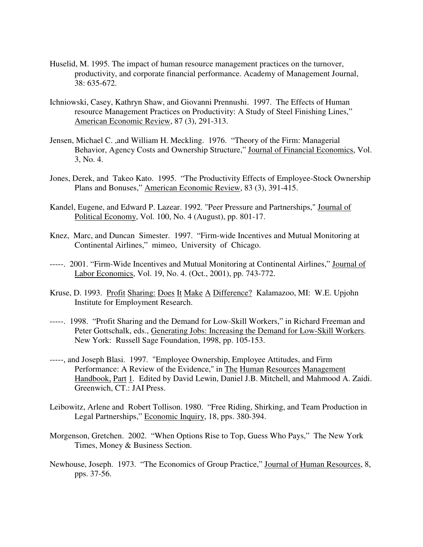- Huselid, M. 1995. The impact of human resource management practices on the turnover, productivity, and corporate financial performance. Academy of Management Journal, 38: 635-672.
- Ichniowski, Casey, Kathryn Shaw, and Giovanni Prennushi. 1997. The Effects of Human resource Management Practices on Productivity: A Study of Steel Finishing Lines," American Economic Review, 87 (3), 291-313.
- Jensen, Michael C. ,and William H. Meckling. 1976. "Theory of the Firm: Managerial Behavior, Agency Costs and Ownership Structure," Journal of Financial Economics, Vol. 3, No. 4.
- Jones, Derek, and Takeo Kato. 1995. "The Productivity Effects of Employee-Stock Ownership Plans and Bonuses," American Economic Review, 83 (3), 391-415.
- Kandel, Eugene, and Edward P. Lazear. 1992. "Peer Pressure and Partnerships," Journal of Political Economy, Vol. 100, No. 4 (August), pp. 801-17.
- Knez, Marc, and Duncan Simester. 1997. "Firm-wide Incentives and Mutual Monitoring at Continental Airlines," mimeo, University of Chicago.
- -----. 2001. "Firm-Wide Incentives and Mutual Monitoring at Continental Airlines," Journal of Labor Economics, Vol. 19, No. 4. (Oct., 2001), pp. 743-772.
- Kruse, D. 1993. Profit Sharing: Does It Make A Difference? Kalamazoo, MI: W.E. Upjohn Institute for Employment Research.
- -----. 1998. "Profit Sharing and the Demand for Low-Skill Workers," in Richard Freeman and Peter Gottschalk, eds., Generating Jobs: Increasing the Demand for Low-Skill Workers. New York: Russell Sage Foundation, 1998, pp. 105-153.
- -----, and Joseph Blasi. 1997. "Employee Ownership, Employee Attitudes, and Firm Performance: A Review of the Evidence," in The Human Resources Management Handbook, Part 1*.* Edited by David Lewin, Daniel J.B. Mitchell, and Mahmood A. Zaidi. Greenwich, CT.: JAI Press.
- Leibowitz, Arlene and Robert Tollison. 1980. "Free Riding, Shirking, and Team Production in Legal Partnerships," Economic Inquiry, 18, pps. 380-394.
- Morgenson, Gretchen. 2002. "When Options Rise to Top, Guess Who Pays," The New York Times, Money & Business Section.
- Newhouse, Joseph. 1973. "The Economics of Group Practice," Journal of Human Resources, 8, pps. 37-56.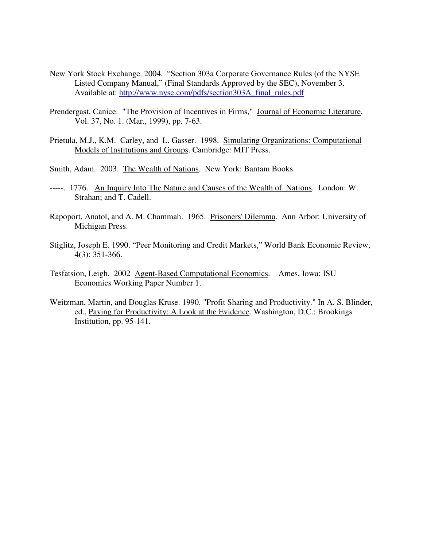- New York Stock Exchange. 2004. "Section 303a Corporate Governance Rules (of the NYSE Listed Company Manual," (Final Standards Approved by the SEC), November 3. Available at: http://www.nyse.com/pdfs/section303A\_final\_rules.pdf
- Prendergast, Canice. "The Provision of Incentives in Firms," Journal of Economic Literature, Vol. 37, No. 1. (Mar., 1999), pp. 7-63.
- Prietula, M.J., K.M. Carley, and L. Gasser. 1998. Simulating Organizations: Computational Models of Institutions and Groups. Cambridge: MIT Press.
- Smith, Adam. 2003. The Wealth of Nations. New York: Bantam Books.
- -----. 1776. An Inquiry Into The Nature and Causes of the Wealth of Nations. London: W. Strahan; and T. Cadell.
- Rapoport, Anatol, and A. M. Chammah. 1965. Prisoners'Dilemma. Ann Arbor: University of Michigan Press.
- Stiglitz, Joseph E. 1990. "Peer Monitoring and Credit Markets," World Bank Economic Review, 4(3): 351-366.
- Tesfatsion, Leigh. 2002 Agent-Based Computational Economics. Ames, Iowa: ISU Economics Working Paper Number 1.
- Weitzman, Martin, and Douglas Kruse. 1990. "Profit Sharing and Productivity." In A. S. Blinder, ed., Paying for Productivity: A Look at the Evidence. Washington, D.C.: Brookings Institution, pp. 95-141.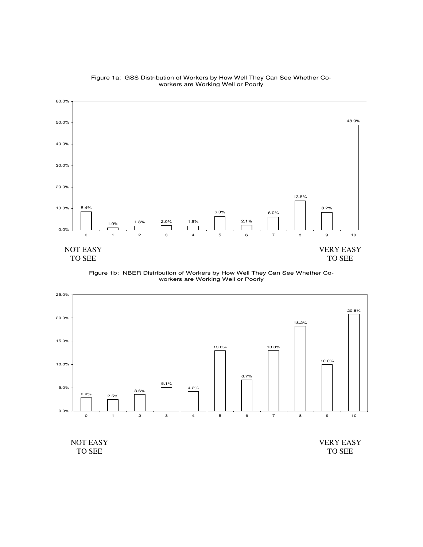

Figure 1a: GSS Distribution of Workers by How Well They Can See Whether Coworkers are Working Well or Poorly

Figure 1b: NBER Distribution of Workers by How Well They Can See Whether Coworkers are Working Well or Poorly

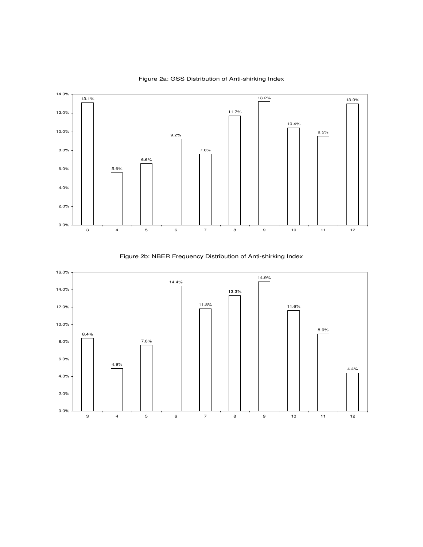

Figure 2a: GSS Distribution of Anti-shirking Index



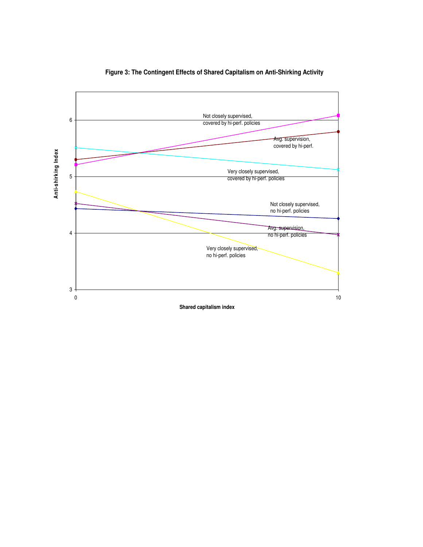

**Figure 3: The Contingent Effects of Shared Capitalism on Anti-Shirking Activity**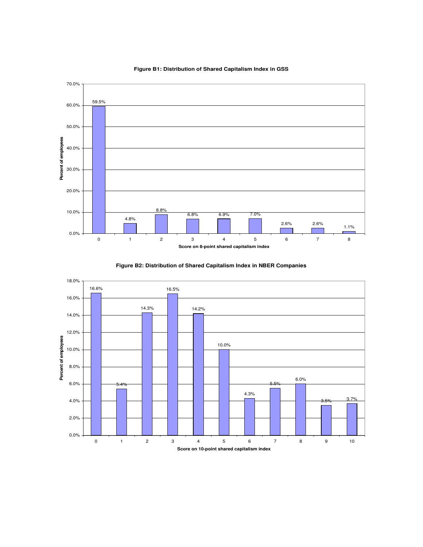

#### **Figure B1: Distribution of Shared Capitalism Index in GSS**



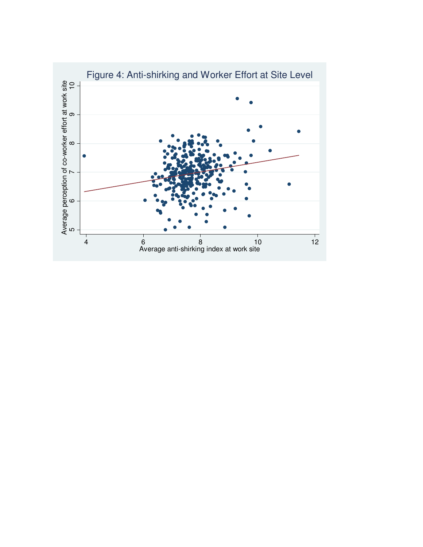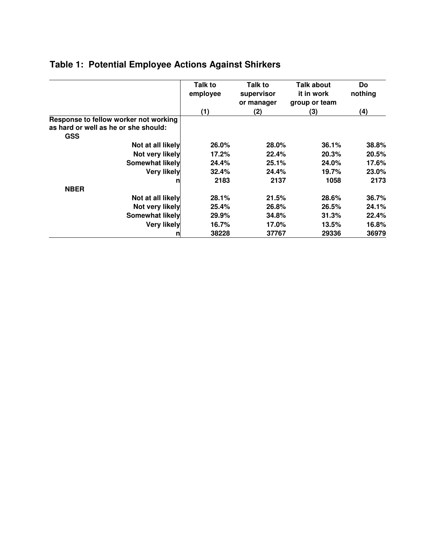# **Table 1: Potential Employee Actions Against Shirkers**

|                                       | Talk to<br>employee | Talk to<br>supervisor<br>or manager | <b>Talk about</b><br>it in work<br>group or team | Do<br>nothing |
|---------------------------------------|---------------------|-------------------------------------|--------------------------------------------------|---------------|
|                                       | (1)                 | (2)                                 | (3)                                              | (4)           |
| Response to fellow worker not working |                     |                                     |                                                  |               |
| as hard or well as he or she should:  |                     |                                     |                                                  |               |
| <b>GSS</b>                            |                     |                                     |                                                  |               |
| Not at all likely                     | 26.0%               | 28.0%                               | 36.1%                                            | 38.8%         |
| Not very likely                       | 17.2%               | 22.4%                               | 20.3%                                            | 20.5%         |
| Somewhat likely                       | 24.4%               | 25.1%                               | 24.0%                                            | 17.6%         |
| <b>Very likely</b>                    | 32.4%               | 24.4%                               | 19.7%                                            | 23.0%         |
| n                                     | 2183                | 2137                                | 1058                                             | 2173          |
| <b>NBER</b>                           |                     |                                     |                                                  |               |
| Not at all likely                     | 28.1%               | 21.5%                               | 28.6%                                            | 36.7%         |
| Not very likely                       | 25.4%               | 26.8%                               | 26.5%                                            | 24.1%         |
| Somewhat likely                       | 29.9%               | 34.8%                               | 31.3%                                            | 22.4%         |
| <b>Very likely</b>                    | 16.7%               | 17.0%                               | 13.5%                                            | 16.8%         |
| n                                     | 38228               | 37767                               | 29336                                            | 36979         |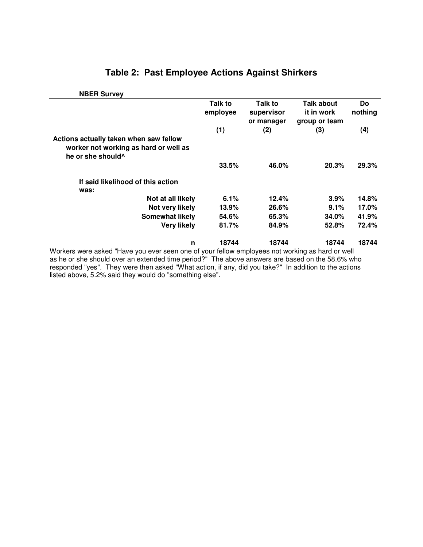| <b>NBER Survey</b>                                                     |                            |                                            |                                                         |                      |
|------------------------------------------------------------------------|----------------------------|--------------------------------------------|---------------------------------------------------------|----------------------|
|                                                                        | Talk to<br>employee<br>(1) | Talk to<br>supervisor<br>or manager<br>(2) | <b>Talk about</b><br>it in work<br>group or team<br>(3) | Do<br>nothing<br>(4) |
| Actions actually taken when saw fellow                                 |                            |                                            |                                                         |                      |
| worker not working as hard or well as<br>he or she should <sup>^</sup> |                            |                                            |                                                         |                      |
|                                                                        | 33.5%                      | 46.0%                                      | 20.3%                                                   | 29.3%                |
| If said likelihood of this action<br>was:                              |                            |                                            |                                                         |                      |
| Not at all likely                                                      | 6.1%                       | 12.4%                                      | 3.9%                                                    | 14.8%                |
| Not very likely                                                        | 13.9%                      | 26.6%                                      | 9.1%                                                    | 17.0%                |
| Somewhat likely                                                        | 54.6%                      | 65.3%                                      | 34.0%                                                   | 41.9%                |
| <b>Very likely</b>                                                     | 81.7%                      | 84.9%                                      | 52.8%                                                   | 72.4%                |
| n<br>.                                                                 | 18744                      | 18744                                      | 18744                                                   | 18744                |

## **Table 2: Past Employee Actions Against Shirkers**

Workers were asked "Have you ever seen one of your fellow employees not working as hard or well as he or she should over an extended time period?" The above answers are based on the 58.6% who responded "yes". They were then asked "What action, if any, did you take?" In addition to the actions listed above, 5.2% said they would do "something else".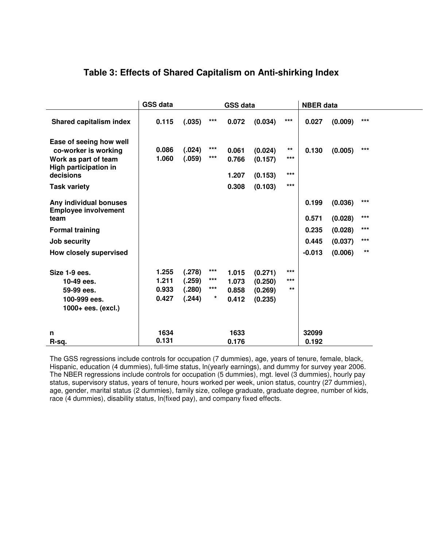|                                                                                                  | <b>GSS data</b> | <b>GSS data</b>  |            |                |                    | <b>NBER</b> data    |          |         |              |
|--------------------------------------------------------------------------------------------------|-----------------|------------------|------------|----------------|--------------------|---------------------|----------|---------|--------------|
| <b>Shared capitalism index</b>                                                                   | 0.115           | (.035)           | ***        | 0.072          | (0.034)            | $***$               | 0.027    | (0.009) | $***$        |
| Ease of seeing how well<br>co-worker is working<br>Work as part of team<br>High participation in | 0.086<br>1.060  | (.024)<br>(.059) | ***<br>*** | 0.061<br>0.766 | (0.024)<br>(0.157) | $\star\star$<br>*** | 0.130    | (0.005) | $***$        |
| decisions                                                                                        |                 |                  |            | 1.207          | (0.153)            | $***$               |          |         |              |
| <b>Task variety</b>                                                                              |                 |                  |            | 0.308          | (0.103)            | ***                 |          |         |              |
| Any individual bonuses<br><b>Employee involvement</b>                                            |                 |                  |            |                |                    |                     | 0.199    | (0.036) | $***$        |
| team                                                                                             |                 |                  |            |                |                    |                     | 0.571    | (0.028) | $***$        |
| <b>Formal training</b>                                                                           |                 |                  |            |                |                    |                     | 0.235    | (0.028) | $***$        |
| Job security                                                                                     |                 |                  |            |                |                    |                     | 0.445    | (0.037) | $***$        |
| How closely supervised                                                                           |                 |                  |            |                |                    |                     | $-0.013$ | (0.006) | $\star\star$ |
| Size 1-9 ees.                                                                                    | 1.255           | (.278)           | ***        | 1.015          | (0.271)            | ***                 |          |         |              |
| 10-49 ees.                                                                                       | 1.211           | (.259)           | ***        | 1.073          | (0.250)            | ***                 |          |         |              |
| 59-99 ees.                                                                                       | 0.933           | (.280)           | ***        | 0.858          | (0.269)            | $\star\star$        |          |         |              |
| 100-999 ees.                                                                                     | 0.427           | (.244)           | *          | 0.412          | (0.235)            |                     |          |         |              |
| 1000+ ees. (excl.)                                                                               |                 |                  |            |                |                    |                     |          |         |              |
| n                                                                                                | 1634            |                  |            | 1633           |                    |                     | 32099    |         |              |
| R-sq.                                                                                            | 0.131           |                  |            | 0.176          |                    |                     | 0.192    |         |              |

## **Table 3: Effects of Shared Capitalism on Anti-shirking Index**

The GSS regressions include controls for occupation (7 dummies), age, years of tenure, female, black, Hispanic, education (4 dummies), full-time status, ln(yearly earnings), and dummy for survey year 2006. The NBER regressions include controls for occupation (5 dummies), mgt. level (3 dummies), hourly pay status, supervisory status, years of tenure, hours worked per week, union status, country (27 dummies), age, gender, marital status (2 dummies), family size, college graduate, graduate degree, number of kids, race (4 dummies), disability status, ln(fixed pay), and company fixed effects.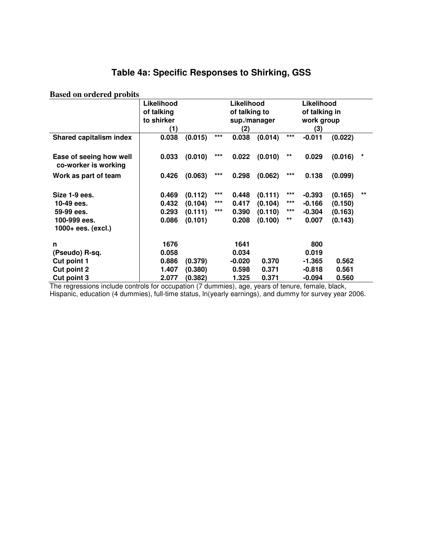## **Table 4a: Specific Responses to Shirking, GSS**

| Dascu on orucreu probles                        | Likelihood<br>of talking<br>to shirker | Likelihood<br>of talking to<br>sup./manager<br>(1)<br>(2) |       |          |         |              | Likelihood<br>of talking in<br>work group |         |        |
|-------------------------------------------------|----------------------------------------|-----------------------------------------------------------|-------|----------|---------|--------------|-------------------------------------------|---------|--------|
|                                                 | 0.038                                  |                                                           | $***$ | 0.038    | (0.014) | $***$        | (3)<br>$-0.011$                           |         |        |
| <b>Shared capitalism index</b>                  |                                        | (0.015)                                                   |       |          |         |              |                                           | (0.022) |        |
| Ease of seeing how well<br>co-worker is working | 0.033                                  | (0.010)                                                   | $***$ | 0.022    | (0.010) | $***$        | 0.029                                     | (0.016) | $\ast$ |
| Work as part of team                            | 0.426                                  | (0.063)                                                   | ***   | 0.298    | (0.062) | $***$        | 0.138                                     | (0.099) |        |
| Size 1-9 ees.                                   | 0.469                                  | (0.112)                                                   | ***   | 0.448    | (0.111) | ***          | $-0.393$                                  | (0.165) | $***$  |
| 10-49 ees.                                      | 0.432                                  | (0.104)                                                   | ***   | 0.417    | (0.104) | $***$        | $-0.166$                                  | (0.150) |        |
| 59-99 ees.                                      | 0.293                                  | (0.111)                                                   | ***   | 0.390    | (0.110) | ***          | $-0.304$                                  | (0.163) |        |
| 100-999 ees.                                    | 0.086                                  | (0.101)                                                   |       | 0.208    | (0.100) | $\star\star$ | 0.007                                     | (0.143) |        |
| 1000+ ees. (excl.)                              |                                        |                                                           |       |          |         |              |                                           |         |        |
| n                                               | 1676                                   |                                                           |       | 1641     |         |              | 800                                       |         |        |
| (Pseudo) R-sq.                                  | 0.058                                  |                                                           |       | 0.034    |         |              | 0.019                                     |         |        |
| Cut point 1                                     | 0.886                                  | (0.379)                                                   |       | $-0.020$ | 0.370   |              | $-1.365$                                  | 0.562   |        |
| <b>Cut point 2</b>                              | 1.407                                  | (0.380)                                                   |       | 0.598    | 0.371   |              | $-0.818$                                  | 0.561   |        |
| Cut point 3                                     | 2.077                                  | (0.382)                                                   |       | 1.325    | 0.371   |              | $-0.094$                                  | 0.560   |        |

#### **Based on ordered probits**

The regressions include controls for occupation (7 dummies), age, years of tenure, female, black, Hispanic, education (4 dummies), full-time status, ln(yearly earnings), and dummy for survey year 2006.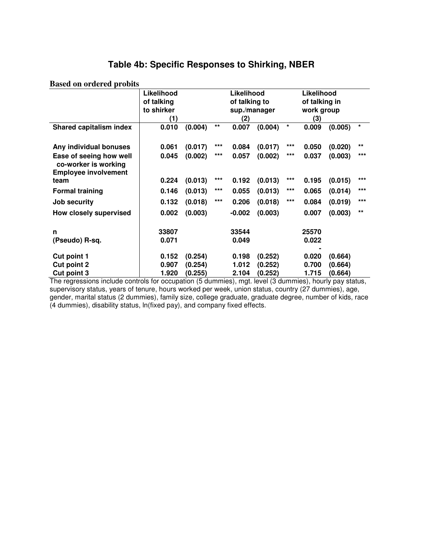## **Table 4b: Specific Responses to Shirking, NBER**

| Dascu on orucrea probles                        |                          |         |              |               |         |            |               |         |              |
|-------------------------------------------------|--------------------------|---------|--------------|---------------|---------|------------|---------------|---------|--------------|
|                                                 | Likelihood<br>Likelihood |         |              |               |         |            | Likelihood    |         |              |
|                                                 | of talking               |         |              | of talking to |         |            | of talking in |         |              |
|                                                 | to shirker               |         |              | sup./manager  |         | work group |               |         |              |
|                                                 | (1)                      |         |              | (2)           |         |            | (3)           |         |              |
| <b>Shared capitalism index</b>                  | 0.010                    | (0.004) | $\star\star$ | 0.007         | (0.004) | $\star$    | 0.009         | (0.005) | $\star$      |
| Any individual bonuses                          | 0.061                    | (0.017) | $***$        | 0.084         | (0.017) | ***        | 0.050         | (0.020) | $\star\star$ |
| Ease of seeing how well<br>co-worker is working | 0.045                    | (0.002) | ***          | 0.057         | (0.002) | ***        | 0.037         | (0.003) | ***          |
| <b>Employee involvement</b>                     |                          |         |              |               |         |            |               |         |              |
| team                                            | 0.224                    | (0.013) | $***$        | 0.192         | (0.013) | ***        | 0.195         | (0.015) | $***$        |
| <b>Formal training</b>                          | 0.146                    | (0.013) | $***$        | 0.055         | (0.013) | ***        | 0.065         | (0.014) | $***$        |
| Job security                                    | 0.132                    | (0.018) | $***$        | 0.206         | (0.018) | ***        | 0.084         | (0.019) | ***          |
| How closely supervised                          | 0.002                    | (0.003) |              | $-0.002$      | (0.003) |            | 0.007         | (0.003) | $\star\star$ |
|                                                 |                          |         |              |               |         |            |               |         |              |
| n                                               | 33807                    |         |              | 33544         |         |            | 25570         |         |              |
| (Pseudo) R-sq.                                  | 0.071                    |         |              | 0.049         |         |            | 0.022         |         |              |
| Cut point 1                                     | 0.152                    | (0.254) |              | 0.198         | (0.252) |            | 0.020         | (0.664) |              |
| <b>Cut point 2</b>                              | 0.907                    | (0.254) |              | 1.012         | (0.252) |            | 0.700         | (0.664) |              |
| Cut point 3                                     | 1.920                    | (0.255) |              | 2.104         | (0.252) |            | 1.715         | (0.664) |              |

**Based on ordered probits**

The regressions include controls for occupation (5 dummies), mgt. level (3 dummies), hourly pay status, supervisory status, years of tenure, hours worked per week, union status, country (27 dummies), age, gender, marital status (2 dummies), family size, college graduate, graduate degree, number of kids, race (4 dummies), disability status, ln(fixed pay), and company fixed effects.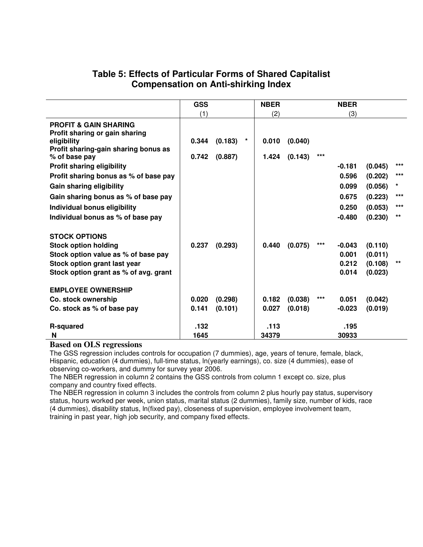## **Table 5: Effects of Particular Forms of Shared Capitalist Compensation on Anti-shirking Index**

|                                                     | <b>GSS</b> |         | <b>NBER</b> |         |     | <b>NBER</b> |         |              |
|-----------------------------------------------------|------------|---------|-------------|---------|-----|-------------|---------|--------------|
|                                                     | (1)        |         | (2)         |         |     | (3)         |         |              |
| <b>PROFIT &amp; GAIN SHARING</b>                    |            |         |             |         |     |             |         |              |
| Profit sharing or gain sharing                      |            | $\star$ |             |         |     |             |         |              |
| eligibility<br>Profit sharing-gain sharing bonus as | 0.344      | (0.183) | 0.010       | (0.040) |     |             |         |              |
| % of base pay                                       | 0.742      | (0.887) | 1.424       | (0.143) | *** |             |         |              |
| <b>Profit sharing eligibility</b>                   |            |         |             |         |     | $-0.181$    | (0.045) | ***          |
| Profit sharing bonus as % of base pay               |            |         |             |         |     | 0.596       | (0.202) | ***          |
| Gain sharing eligibility                            |            |         |             |         |     | 0.099       | (0.056) | *            |
| Gain sharing bonus as % of base pay                 |            |         |             |         |     | 0.675       | (0.223) | ***          |
| Individual bonus eligibility                        |            |         |             |         |     | 0.250       | (0.053) | ***          |
| Individual bonus as % of base pay                   |            |         |             |         |     | $-0.480$    | (0.230) | $\star\star$ |
|                                                     |            |         |             |         |     |             |         |              |
| <b>STOCK OPTIONS</b>                                |            |         |             |         |     |             |         |              |
| <b>Stock option holding</b>                         | 0.237      | (0.293) | 0.440       | (0.075) | *** | $-0.043$    | (0.110) |              |
| Stock option value as % of base pay                 |            |         |             |         |     | 0.001       | (0.011) |              |
| Stock option grant last year                        |            |         |             |         |     | 0.212       | (0.108) | $***$        |
| Stock option grant as % of avg. grant               |            |         |             |         |     | 0.014       | (0.023) |              |
| <b>EMPLOYEE OWNERSHIP</b>                           |            |         |             |         |     |             |         |              |
| Co. stock ownership                                 | 0.020      | (0.298) | 0.182       | (0.038) | *** | 0.051       | (0.042) |              |
|                                                     |            |         |             |         |     |             |         |              |
| Co. stock as % of base pay                          | 0.141      | (0.101) | 0.027       | (0.018) |     | $-0.023$    | (0.019) |              |
| <b>R-squared</b>                                    | .132       |         | .113        |         |     | .195        |         |              |
| N                                                   | 1645       |         | 34379       |         |     | 30933       |         |              |

#### **Based on OLS regressions**

The GSS regression includes controls for occupation (7 dummies), age, years of tenure, female, black, Hispanic, education (4 dummies), full-time status, ln(yearly earnings), co. size (4 dummies), ease of observing co-workers, and dummy for survey year 2006.

The NBER regression in column 2 contains the GSS controls from column 1 except co. size, plus company and country fixed effects.

The NBER regression in column 3 includes the controls from column 2 plus hourly pay status, supervisory status, hours worked per week, union status, marital status (2 dummies), family size, number of kids, race (4 dummies), disability status, ln(fixed pay), closeness of supervision, employee involvement team, training in past year, high job security, and company fixed effects.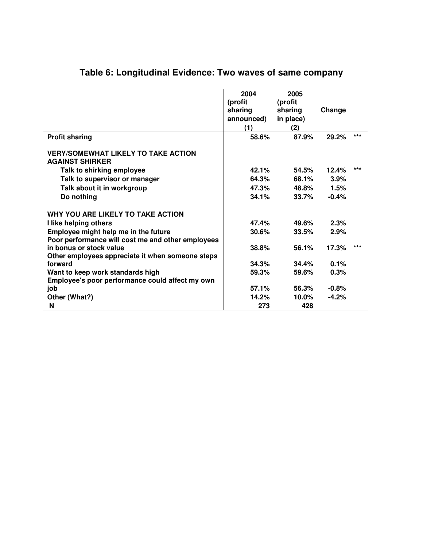|                                                                      | 2004<br>(profit<br>sharing<br>announced)<br>(1) | 2005<br>(profit<br>sharing<br>in place)<br>(2) | Change  |       |
|----------------------------------------------------------------------|-------------------------------------------------|------------------------------------------------|---------|-------|
| <b>Profit sharing</b>                                                | 58.6%                                           | 87.9%                                          | 29.2%   | $***$ |
| <b>VERY/SOMEWHAT LIKELY TO TAKE ACTION</b><br><b>AGAINST SHIRKER</b> |                                                 |                                                |         |       |
| Talk to shirking employee                                            | 42.1%                                           | 54.5%                                          | 12.4%   | ***   |
| Talk to supervisor or manager                                        | 64.3%                                           | 68.1%                                          | 3.9%    |       |
| Talk about it in workgroup                                           | 47.3%                                           | 48.8%                                          | 1.5%    |       |
| Do nothing                                                           | 34.1%                                           | 33.7%                                          | $-0.4%$ |       |
| WHY YOU ARE LIKELY TO TAKE ACTION                                    |                                                 |                                                |         |       |
| I like helping others                                                | 47.4%                                           | 49.6%                                          | 2.3%    |       |
| Employee might help me in the future                                 | 30.6%                                           | 33.5%                                          | 2.9%    |       |
| Poor performance will cost me and other employees                    |                                                 |                                                |         |       |
| in bonus or stock value                                              | 38.8%                                           | 56.1%                                          | 17.3%   | ***   |
| Other employees appreciate it when someone steps                     |                                                 |                                                |         |       |
| forward                                                              | 34.3%                                           | 34.4%                                          | 0.1%    |       |
| Want to keep work standards high                                     | 59.3%                                           | 59.6%                                          | 0.3%    |       |
| Employee's poor performance could affect my own                      |                                                 |                                                |         |       |
| job                                                                  | 57.1%                                           | 56.3%                                          | $-0.8%$ |       |
| Other (What?)                                                        | 14.2%                                           | 10.0%                                          | $-4.2%$ |       |
| N                                                                    | 273                                             | 428                                            |         |       |

# **Table 6: Longitudinal Evidence: Two waves of same company**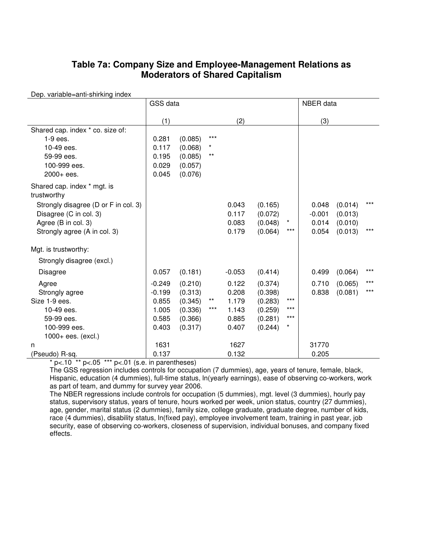## **Table 7a: Company Size and Employee-Management Relations as Moderators of Shared Capitalism**

| Dep. variable=anti-shirking index          |          |         |       |          |         |         |                  |         |       |
|--------------------------------------------|----------|---------|-------|----------|---------|---------|------------------|---------|-------|
|                                            | GSS data |         |       |          |         |         | <b>NBER</b> data |         |       |
|                                            | (1)      |         |       | (2)      |         |         | (3)              |         |       |
| Shared cap. index * co. size of:           |          |         |       |          |         |         |                  |         |       |
| $1-9$ ees.                                 | 0.281    | (0.085) | $***$ |          |         |         |                  |         |       |
| 10-49 ees.                                 | 0.117    | (0.068) |       |          |         |         |                  |         |       |
| 59-99 ees.                                 | 0.195    | (0.085) | $***$ |          |         |         |                  |         |       |
| 100-999 ees.                               | 0.029    | (0.057) |       |          |         |         |                  |         |       |
| $2000+ees.$                                | 0.045    | (0.076) |       |          |         |         |                  |         |       |
| Shared cap. index * mgt. is<br>trustworthy |          |         |       |          |         |         |                  |         |       |
| Strongly disagree (D or F in col. 3)       |          |         |       | 0.043    | (0.165) |         | 0.048            | (0.014) | ***   |
| Disagree (C in col. 3)                     |          |         |       | 0.117    | (0.072) |         | $-0.001$         | (0.013) |       |
| Agree (B in col. 3)                        |          |         |       | 0.083    | (0.048) | $\star$ | 0.014            | (0.010) |       |
| Strongly agree (A in col. 3)               |          |         |       | 0.179    | (0.064) | $***$   | 0.054            | (0.013) | $***$ |
| Mgt. is trustworthy:                       |          |         |       |          |         |         |                  |         |       |
| Strongly disagree (excl.)                  |          |         |       |          |         |         |                  |         |       |
| <b>Disagree</b>                            | 0.057    | (0.181) |       | $-0.053$ | (0.414) |         | 0.499            | (0.064) | $***$ |
| Agree                                      | $-0.249$ | (0.210) |       | 0.122    | (0.374) |         | 0.710            | (0.065) | ***   |
| Strongly agree                             | $-0.199$ | (0.313) |       | 0.208    | (0.398) |         | 0.838            | (0.081) | ***   |
| Size 1-9 ees.                              | 0.855    | (0.345) | $***$ | 1.179    | (0.283) | $***$   |                  |         |       |
| 10-49 ees.                                 | 1.005    | (0.336) | ***   | 1.143    | (0.259) | $***$   |                  |         |       |
| 59-99 ees.                                 | 0.585    | (0.366) |       | 0.885    | (0.281) | $***$   |                  |         |       |
| 100-999 ees.                               | 0.403    | (0.317) |       | 0.407    | (0.244) | $\star$ |                  |         |       |
| $1000+ ees.$ (excl.)                       |          |         |       |          |         |         |                  |         |       |
| n                                          | 1631     |         |       | 1627     |         |         | 31770            |         |       |
| (Pseudo) R-sq.                             | 0.137    |         |       | 0.132    |         |         | 0.205            |         |       |

 $*$  p<.10 \*\* p<.05 \*\*\* p<.01 (s.e. in parentheses)

The GSS regression includes controls for occupation (7 dummies), age, years of tenure, female, black, Hispanic, education (4 dummies), full-time status, ln(yearly earnings), ease of observing co-workers, work as part of team, and dummy for survey year 2006.

The NBER regressions include controls for occupation (5 dummies), mgt. level (3 dummies), hourly pay status, supervisory status, years of tenure, hours worked per week, union status, country (27 dummies), age, gender, marital status (2 dummies), family size, college graduate, graduate degree, number of kids, race (4 dummies), disability status, ln(fixed pay), employee involvement team, training in past year, job security, ease of observing co-workers, closeness of supervision, individual bonuses, and company fixed effects.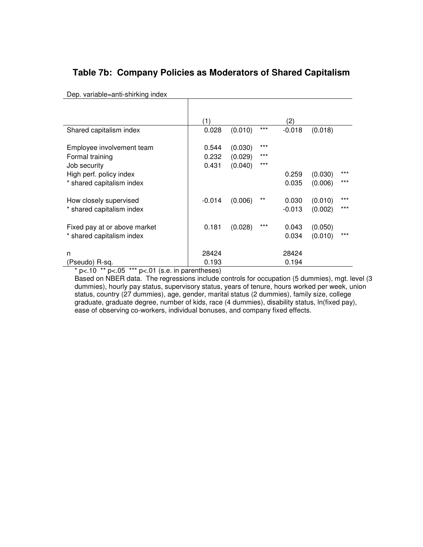## **Table 7b: Company Policies as Moderators of Shared Capitalism**

|                              | (1)      |         |       | (2)      |         |       |
|------------------------------|----------|---------|-------|----------|---------|-------|
| Shared capitalism index      | 0.028    | (0.010) | $***$ | $-0.018$ | (0.018) |       |
|                              |          |         |       |          |         |       |
| Employee involvement team    | 0.544    | (0.030) | ***   |          |         |       |
| Formal training              | 0.232    | (0.029) | $***$ |          |         |       |
| Job security                 | 0.431    | (0.040) | ***   |          |         |       |
| High perf. policy index      |          |         |       | 0.259    | (0.030) | ***   |
| * shared capitalism index    |          |         |       | 0.035    | (0.006) | $***$ |
|                              |          |         |       |          |         |       |
| How closely supervised       | $-0.014$ | (0.006) | **    | 0.030    | (0.010) | $***$ |
| * shared capitalism index    |          |         |       | $-0.013$ | (0.002) | ***   |
|                              |          |         |       |          |         |       |
| Fixed pay at or above market | 0.181    | (0.028) | ***   | 0.043    | (0.050) |       |
| * shared capitalism index    |          |         |       | 0.034    | (0.010) | $***$ |
|                              |          |         |       |          |         |       |
| n                            | 28424    |         |       | 28424    |         |       |
| Pseudo) R-sq.                | 0.193    |         |       | 0.194    |         |       |

Dep. variable=anti-shirking index

\* p<.10 \*\* p<.05 \*\*\* p<.01 (s.e. in parentheses)

Based on NBER data. The regressions include controls for occupation (5 dummies), mgt. level (3 dummies), hourly pay status, supervisory status, years of tenure, hours worked per week, union status, country (27 dummies), age, gender, marital status (2 dummies), family size, college graduate, graduate degree, number of kids, race (4 dummies), disability status, ln(fixed pay), ease of observing co-workers, individual bonuses, and company fixed effects.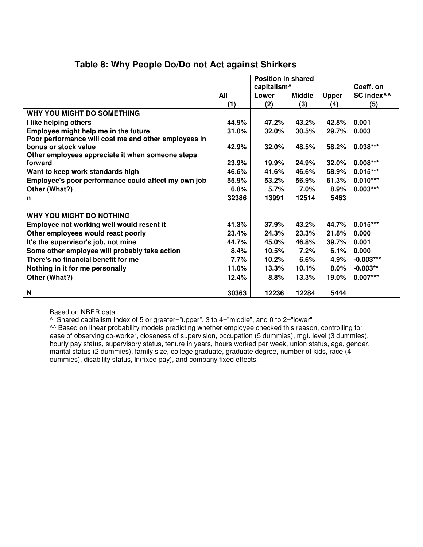|                                                      |       | <b>Position in shared</b><br>capitalism <sup>^</sup> |               |              | Coeff. on              |
|------------------------------------------------------|-------|------------------------------------------------------|---------------|--------------|------------------------|
|                                                      | All   | Lower                                                | <b>Middle</b> | <b>Upper</b> | SC index <sup>^^</sup> |
|                                                      | (1)   | (2)                                                  | (3)           | (4)          | (5)                    |
| WHY YOU MIGHT DO SOMETHING                           |       |                                                      |               |              |                        |
| I like helping others                                | 44.9% | 47.2%                                                | 43.2%         | 42.8%        | 0.001                  |
| Employee might help me in the future                 | 31.0% | 32.0%                                                | 30.5%         | 29.7%        | 0.003                  |
| Poor performance will cost me and other employees in |       |                                                      |               |              |                        |
| bonus or stock value                                 | 42.9% | 32.0%                                                | 48.5%         | 58.2%        | $0.038***$             |
| Other employees appreciate it when someone steps     |       |                                                      |               |              |                        |
| forward                                              | 23.9% | 19.9%                                                | 24.9%         | 32.0%        | $0.008***$             |
| Want to keep work standards high                     | 46.6% | 41.6%                                                | 46.6%         | 58.9%        | $0.015***$             |
| Employee's poor performance could affect my own job  | 55.9% | 53.2%                                                | 56.9%         | 61.3%        | $0.010***$             |
| Other (What?)                                        | 6.8%  | 5.7%                                                 | 7.0%          | 8.9%         | $0.003***$             |
| n                                                    | 32386 | 13991                                                | 12514         | 5463         |                        |
| WHY YOU MIGHT DO NOTHING                             |       |                                                      |               |              |                        |
| Employee not working well would resent it            | 41.3% | 37.9%                                                | 43.2%         | 44.7%        | $0.015***$             |
| Other employees would react poorly                   | 23.4% | 24.3%                                                | 23.3%         | 21.8%        | 0.000                  |
| It's the supervisor's job, not mine                  | 44.7% | 45.0%                                                | 46.8%         | 39.7%        | 0.001                  |
| Some other employee will probably take action        | 8.4%  | 10.5%                                                | 7.2%          | 6.1%         | 0.000                  |
| There's no financial benefit for me                  | 7.7%  | 10.2%                                                | 6.6%          | 4.9%         | $-0.003***$            |
| Nothing in it for me personally                      | 11.0% | 13.3%                                                | 10.1%         | 8.0%         | $-0.003**$             |
| Other (What?)                                        | 12.4% | 8.8%                                                 | 13.3%         | 19.0%        | $0.007***$             |
| N                                                    | 30363 | 12236                                                | 12284         | 5444         |                        |

## **Table 8: Why People Do/Do not Act against Shirkers**

Based on NBER data

^ Shared capitalism index of 5 or greater="upper", 3 to 4="middle", and 0 to 2="lower"

^^ Based on linear probability models predicting whether employee checked this reason, controlling for ease of observing co-worker, closeness of supervision, occupation (5 dummies), mgt. level (3 dummies), hourly pay status, supervisory status, tenure in years, hours worked per week, union status, age, gender, marital status (2 dummies), family size, college graduate, graduate degree, number of kids, race (4 dummies), disability status, ln(fixed pay), and company fixed effects.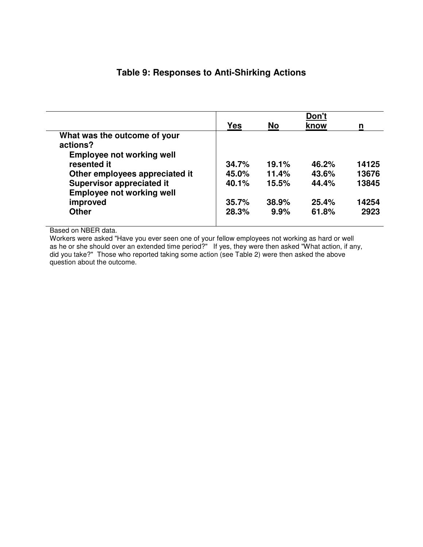## **Table 9: Responses to Anti-Shirking Actions**

|                                  |       |       | Don't |       |
|----------------------------------|-------|-------|-------|-------|
|                                  | Yes   | No    | know  | n     |
| What was the outcome of your     |       |       |       |       |
| actions?                         |       |       |       |       |
| <b>Employee not working well</b> |       |       |       |       |
| resented it                      | 34.7% | 19.1% | 46.2% | 14125 |
| Other employees appreciated it   | 45.0% | 11.4% | 43.6% | 13676 |
| <b>Supervisor appreciated it</b> | 40.1% | 15.5% | 44.4% | 13845 |
| <b>Employee not working well</b> |       |       |       |       |
| improved                         | 35.7% | 38.9% | 25.4% | 14254 |
| <b>Other</b>                     | 28.3% | 9.9%  | 61.8% | 2923  |
|                                  |       |       |       |       |

Based on NBER data.

Workers were asked "Have you ever seen one of your fellow employees not working as hard or well as he or she should over an extended time period?" If yes, they were then asked "What action, if any, did you take?" Those who reported taking some action (see Table 2) were then asked the above question about the outcome.